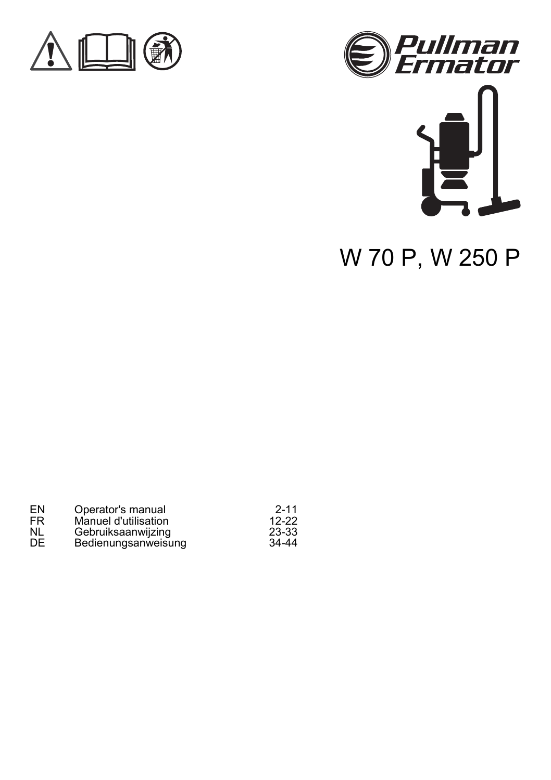





# W 70 P, W 250 P

| EN | Operator's manual    | $2 - 11$  |
|----|----------------------|-----------|
| FR | Manuel d'utilisation | $12-22$   |
| NL | Gebruiksaanwijzing   | 23-33     |
| DE | Bedienungsanweisung  | $34 - 44$ |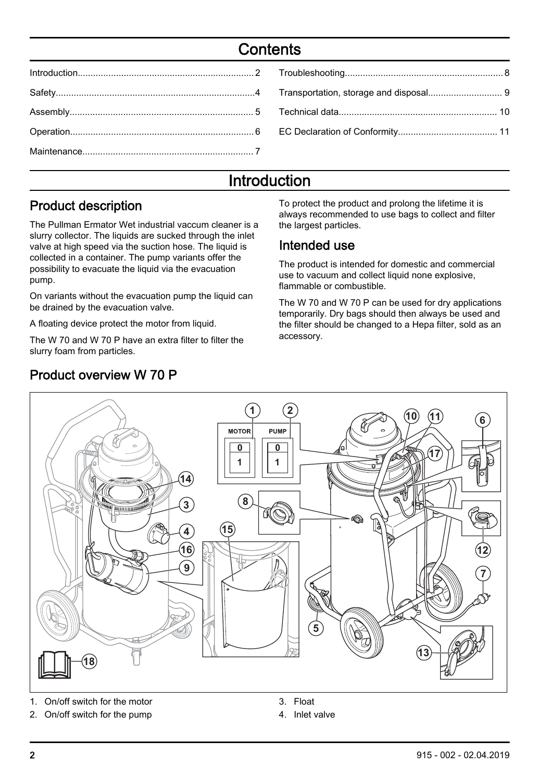# **Contents**

# Introduction

#### Product description

The Pullman Ermator Wet industrial vaccum cleaner is a slurry collector. The liquids are sucked through the inlet valve at high speed via the suction hose. The liquid is collected in a container. The pump variants offer the possibility to evacuate the liquid via the evacuation pump.

On variants without the evacuation pump the liquid can be drained by the evacuation valve.

A floating device protect the motor from liquid.

The W 70 and W 70 P have an extra filter to filter the slurry foam from particles.

# Product overview W 70 P

To protect the product and prolong the lifetime it is always recommended to use bags to collect and filter the largest particles.

#### Intended use

The product is intended for domestic and commercial use to vacuum and collect liquid none explosive. flammable or combustible.

The W 70 and W 70 P can be used for dry applications temporarily. Dry bags should then always be used and the filter should be changed to a Hepa filter, sold as an accessory.



1. On/off switch for the motor

2. On/off switch for the pump

- 3. Float
- 4. Inlet valve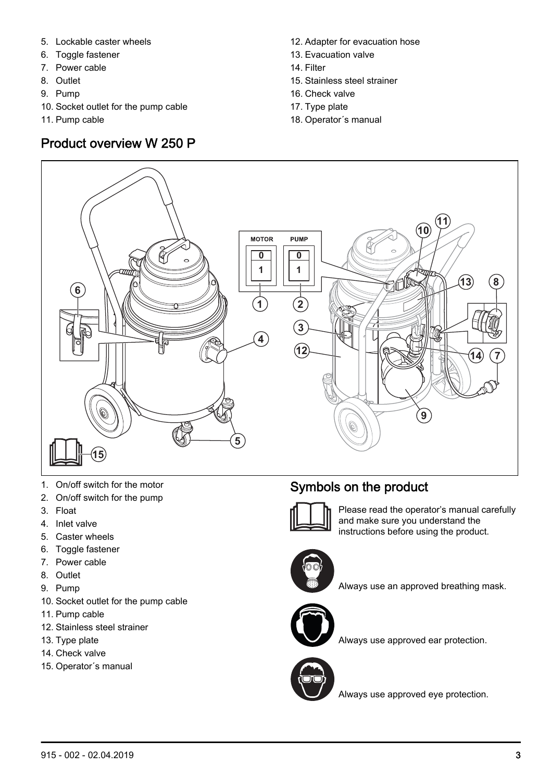- 5. Lockable caster wheels
- 6. Toggle fastener
- 7. Power cable
- 8. Outlet
- 9. Pump
- 10. Socket outlet for the pump cable
- 11. Pump cable

## Product overview W 250 P

- 12. Adapter for evacuation hose
- 13. Evacuation valve
- 14. Filter
- 15. Stainless steel strainer
- 16. Check valve
- 17. Type plate
- 18. Operator´s manual



- 1. On/off switch for the motor
- 2. On/off switch for the pump
- 3. Float
- 4. Inlet valve
- 5. Caster wheels
- 6. Toggle fastener
- 7. Power cable
- 8. Outlet
- 9. Pump
- 10. Socket outlet for the pump cable
- 11. Pump cable
- 12. Stainless steel strainer
- 13. Type plate
- 14. Check valve
- 15. Operator´s manual

# Symbols on the product



Please read the operator's manual carefully and make sure you understand the instructions before using the product.



Always use an approved breathing mask.



Always use approved ear protection.



Always use approved eye protection.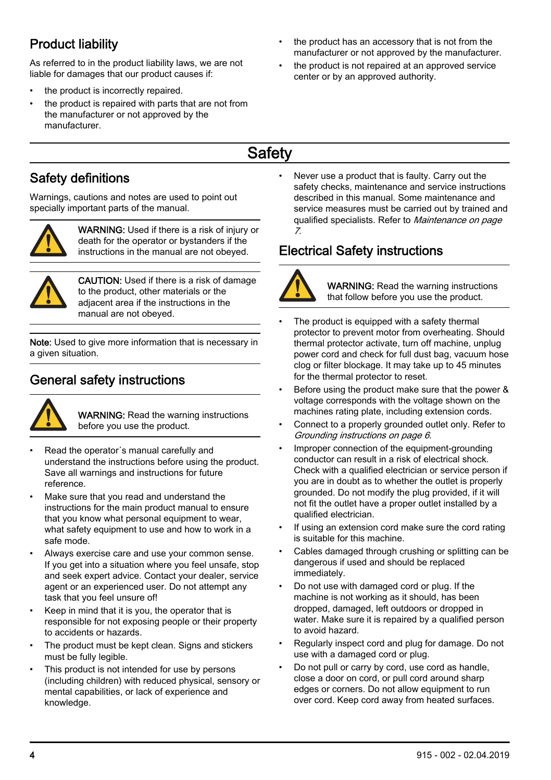# <span id="page-3-0"></span>Product liability

As referred to in the product liability laws, we are not liable for damages that our product causes if:

- the product is incorrectly repaired.
- the product is repaired with parts that are not from the manufacturer or not approved by the manufacturer.
- the product has an accessory that is not from the manufacturer or not approved by the manufacturer.
- the product is not repaired at an approved service center or by an approved authority.
- **Safety**

## Safety definitions

Warnings, cautions and notes are used to point out specially important parts of the manual.



WARNING: Used if there is a risk of injury or death for the operator or bystanders if the instructions in the manual are not obeyed.



CAUTION: Used if there is a risk of damage to the product, other materials or the adjacent area if the instructions in the manual are not obeyed.

Note: Used to give more information that is necessary in a given situation.

## General safety instructions



WARNING: Read the warning instructions before you use the product.

- Read the operator´s manual carefully and understand the instructions before using the product. Save all warnings and instructions for future reference.
- Make sure that you read and understand the instructions for the main product manual to ensure that you know what personal equipment to wear. what safety equipment to use and how to work in a safe mode.
- Always exercise care and use your common sense. If you get into a situation where you feel unsafe, stop and seek expert advice. Contact your dealer, service agent or an experienced user. Do not attempt any task that you feel unsure of!
- Keep in mind that it is you, the operator that is responsible for not exposing people or their property to accidents or hazards.
- The product must be kept clean. Signs and stickers must be fully legible.
- This product is not intended for use by persons (including children) with reduced physical, sensory or mental capabilities, or lack of experience and knowledge.

• Never use a product that is faulty. Carry out the safety checks, maintenance and service instructions described in this manual. Some maintenance and service measures must be carried out by trained and qualified specialists. Refer to [Maintenance](#page-6-0) on page 7.

## Electrical Safety instructions



WARNING: Read the warning instructions that follow before you use the product.

- The product is equipped with a safety thermal protector to prevent motor from overheating. Should thermal protector activate, turn off machine, unplug power cord and check for full dust bag, vacuum hose clog or filter blockage. It may take up to 45 minutes for the thermal protector to reset.
- Before using the product make sure that the power & voltage corresponds with the voltage shown on the machines rating plate, including extension cords.
- Connect to a properly grounded outlet only. Refer to [Grounding instructions](#page-5-0) on page 6.
- Improper connection of the equipment-grounding conductor can result in a risk of electrical shock. Check with a qualified electrician or service person if you are in doubt as to whether the outlet is properly grounded. Do not modify the plug provided, if it will not fit the outlet have a proper outlet installed by a qualified electrician.
- If using an extension cord make sure the cord rating is suitable for this machine.
- Cables damaged through crushing or splitting can be dangerous if used and should be replaced immediately.
- Do not use with damaged cord or plug. If the machine is not working as it should, has been dropped, damaged, left outdoors or dropped in water. Make sure it is repaired by a qualified person to avoid hazard.
- Regularly inspect cord and plug for damage. Do not use with a damaged cord or plug.
- Do not pull or carry by cord, use cord as handle, close a door on cord, or pull cord around sharp edges or corners. Do not allow equipment to run over cord. Keep cord away from heated surfaces.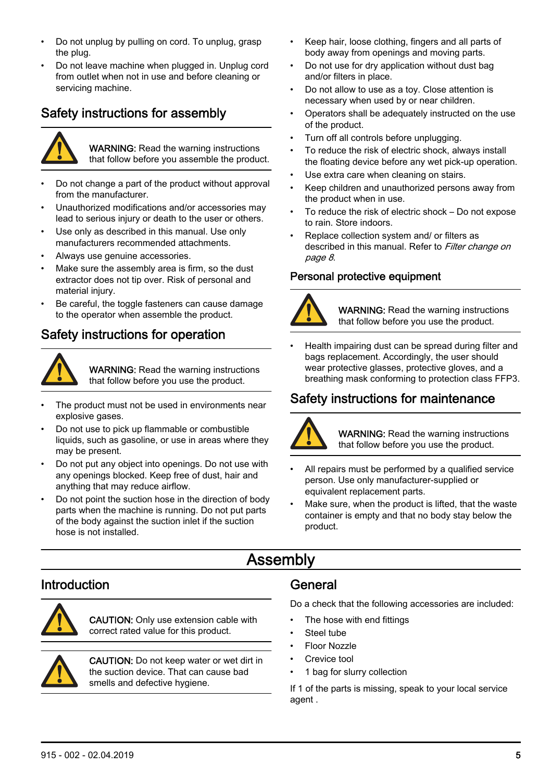- <span id="page-4-0"></span>• Do not unplug by pulling on cord. To unplug, grasp the plug.
- Do not leave machine when plugged in. Unplug cord from outlet when not in use and before cleaning or servicing machine.

## Safety instructions for assembly



WARNING: Read the warning instructions that follow before you assemble the product.

- Do not change a part of the product without approval from the manufacturer.
- Unauthorized modifications and/or accessories may lead to serious injury or death to the user or others.
- Use only as described in this manual. Use only manufacturers recommended attachments.
- Always use genuine accessories.
- Make sure the assembly area is firm, so the dust extractor does not tip over. Risk of personal and material injury.
- Be careful, the toggle fasteners can cause damage to the operator when assemble the product.

#### Safety instructions for operation



WARNING: Read the warning instructions that follow before you use the product.

- The product must not be used in environments near explosive gases.
- Do not use to pick up flammable or combustible liquids, such as gasoline, or use in areas where they may be present.
- Do not put any object into openings. Do not use with any openings blocked. Keep free of dust, hair and anything that may reduce airflow.
- Do not point the suction hose in the direction of body parts when the machine is running. Do not put parts of the body against the suction inlet if the suction hose is not installed.
- Keep hair, loose clothing, fingers and all parts of body away from openings and moving parts.
- Do not use for dry application without dust bag and/or filters in place.
- Do not allow to use as a toy. Close attention is necessary when used by or near children.
- Operators shall be adequately instructed on the use of the product.
- Turn off all controls before unplugging.
- To reduce the risk of electric shock, always install the floating device before any wet pick-up operation.
- Use extra care when cleaning on stairs.
- Keep children and unauthorized persons away from the product when in use.
- To reduce the risk of electric shock Do not expose to rain. Store indoors.
- Replace collection system and/ or filters as described in this manual. Refer to *[Filter change](#page-7-0) on* page 8.

#### Personal protective equipment



WARNING: Read the warning instructions that follow before you use the product.

• Health impairing dust can be spread during filter and bags replacement. Accordingly, the user should wear protective glasses, protective gloves, and a breathing mask conforming to protection class FFP3.

## Safety instructions for maintenance



WARNING: Read the warning instructions that follow before you use the product.

- All repairs must be performed by a qualified service person. Use only manufacturer-supplied or equivalent replacement parts.
- Make sure, when the product is lifted, that the waste container is empty and that no body stay below the product.

# Assembly

#### Introduction



CAUTION: Only use extension cable with correct rated value for this product.



CAUTION: Do not keep water or wet dirt in the suction device. That can cause bad smells and defective hygiene.

#### General

Do a check that the following accessories are included:

- The hose with end fittings
- Steel tube
- Floor Nozzle
- Crevice tool
- 1 bag for slurry collection

If 1 of the parts is missing, speak to your local service agent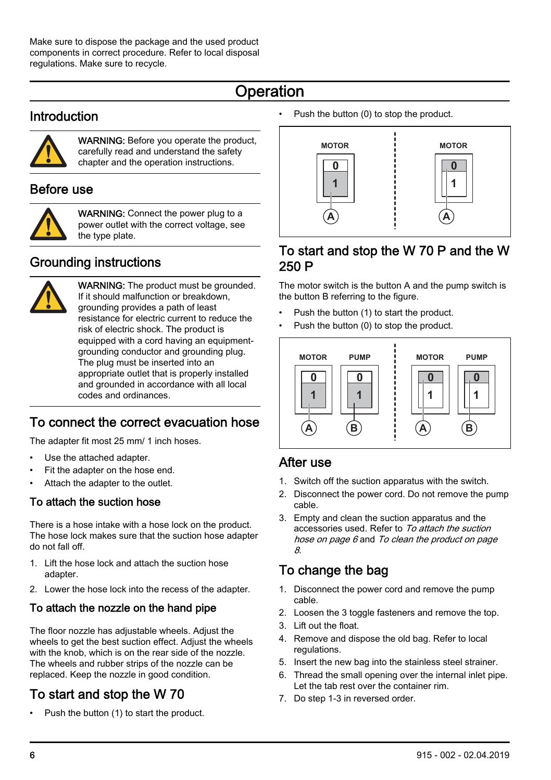# **Operation**

#### <span id="page-5-0"></span>Introduction



WARNING: Before you operate the product carefully read and understand the safety chapter and the operation instructions.

#### Before use



WARNING: Connect the power plug to a power outlet with the correct voltage, see the type plate.

## Grounding instructions



WARNING: The product must be grounded. If it should malfunction or breakdown, grounding provides a path of least resistance for electric current to reduce the risk of electric shock. The product is equipped with a cord having an equipmentgrounding conductor and grounding plug. The plug must be inserted into an appropriate outlet that is properly installed and grounded in accordance with all local codes and ordinances.

# To connect the correct evacuation hose

The adapter fit most 25 mm/ 1 inch hoses.

- Use the attached adapter.
- Fit the adapter on the hose end.
- Attach the adapter to the outlet.

#### To attach the suction hose

There is a hose intake with a hose lock on the product. The hose lock makes sure that the suction hose adapter do not fall off.

- 1. Lift the hose lock and attach the suction hose adapter.
- 2. Lower the hose lock into the recess of the adapter.

#### To attach the nozzle on the hand pipe

The floor nozzle has adjustable wheels. Adjust the wheels to get the best suction effect. Adjust the wheels with the knob, which is on the rear side of the nozzle. The wheels and rubber strips of the nozzle can be replaced. Keep the nozzle in good condition.

# To start and stop the W 70

• Push the button (1) to start the product.

Push the button (0) to stop the product.



#### To start and stop the W 70 P and the W 250 P

The motor switch is the button A and the pump switch is the button B referring to the figure.

- Push the button (1) to start the product.
- Push the button (0) to stop the product.



#### After use

- 1. Switch off the suction apparatus with the switch.
- 2. Disconnect the power cord. Do not remove the pump cable.
- 3. Empty and clean the suction apparatus and the accessories used. Refer to To attach the suction hose on page 6 and [To clean the product](#page-7-0) on page 8.

## To change the bag

- 1. Disconnect the power cord and remove the pump cable.
- 2. Loosen the 3 toggle fasteners and remove the top.
- 3. Lift out the float.
- 4. Remove and dispose the old bag. Refer to local **regulations**
- 5. Insert the new bag into the stainless steel strainer.
- 6. Thread the small opening over the internal inlet pipe. Let the tab rest over the container rim.
- 7. Do step 1-3 in reversed order.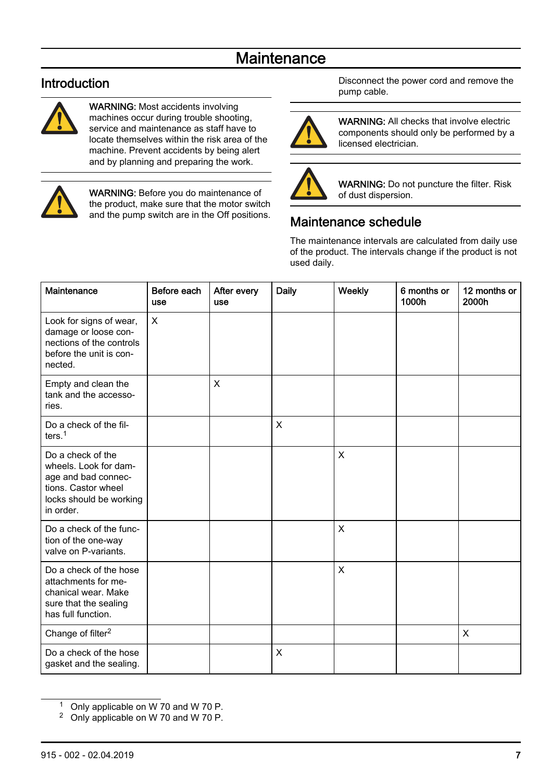# **Maintenance**

#### <span id="page-6-0"></span>Introduction



WARNING: Most accidents involving machines occur during trouble shooting, service and maintenance as staff have to locate themselves within the risk area of the machine. Prevent accidents by being alert and by planning and preparing the work.



WARNING: Before you do maintenance of the product, make sure that the motor switch and the pump switch are in the Off positions. Disconnect the power cord and remove the pump cable.



WARNING: All checks that involve electric components should only be performed by a licensed electrician.



WARNING: Do not puncture the filter. Risk of dust dispersion.

## Maintenance schedule

The maintenance intervals are calculated from daily use of the product. The intervals change if the product is not used daily.

| Maintenance                                                                                                                      | Before each<br><b>USO</b> | After every<br><b>use</b> | Daily | Weekly | 6 months or<br>1000h | 12 months or<br>2000h |
|----------------------------------------------------------------------------------------------------------------------------------|---------------------------|---------------------------|-------|--------|----------------------|-----------------------|
| Look for signs of wear,<br>damage or loose con-<br>nections of the controls<br>before the unit is con-<br>nected.                | X                         |                           |       |        |                      |                       |
| Empty and clean the<br>tank and the accesso-<br>ries.                                                                            |                           | X                         |       |        |                      |                       |
| Do a check of the fil-<br>ters. $1$                                                                                              |                           |                           | X     |        |                      |                       |
| Do a check of the<br>wheels. Look for dam-<br>age and bad connec-<br>tions. Castor wheel<br>locks should be working<br>in order. |                           |                           |       | X      |                      |                       |
| Do a check of the func-<br>tion of the one-way<br>valve on P-variants.                                                           |                           |                           |       | X      |                      |                       |
| Do a check of the hose<br>attachments for me-<br>chanical wear. Make<br>sure that the sealing<br>has full function.              |                           |                           |       | X      |                      |                       |
| Change of filter <sup>2</sup>                                                                                                    |                           |                           |       |        |                      | X                     |
| Do a check of the hose<br>gasket and the sealing.                                                                                |                           |                           | X     |        |                      |                       |

<sup>1</sup> Only applicable on W 70 and W 70 P.

<sup>2</sup> Only applicable on W 70 and W 70 P.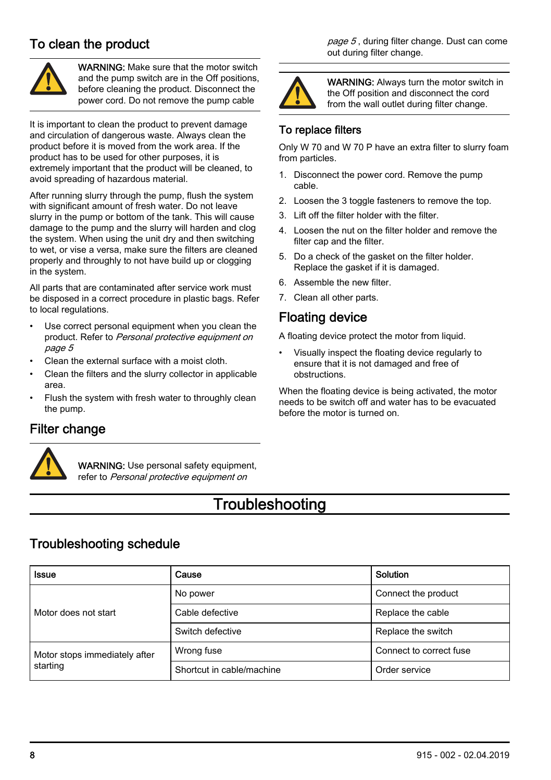#### <span id="page-7-0"></span>To clean the product



WARNING: Make sure that the motor switch and the pump switch are in the Off positions, before cleaning the product. Disconnect the power cord. Do not remove the pump cable

It is important to clean the product to prevent damage and circulation of dangerous waste. Always clean the product before it is moved from the work area. If the product has to be used for other purposes, it is extremely important that the product will be cleaned, to avoid spreading of hazardous material.

After running slurry through the pump, flush the system with significant amount of fresh water. Do not leave slurry in the pump or bottom of the tank. This will cause damage to the pump and the slurry will harden and clog the system. When using the unit dry and then switching to wet, or vise a versa, make sure the filters are cleaned properly and throughly to not have build up or clogging in the system.

All parts that are contaminated after service work must be disposed in a correct procedure in plastic bags. Refer to local regulations.

- Use correct personal equipment when you clean the product. Refer to [Personal protective equipment](#page-4-0) on page 5
- Clean the external surface with a moist cloth.
- Clean the filters and the slurry collector in applicable area.
- Flush the system with fresh water to throughly clean the pump.

#### page 5, during filter change. Dust can come out during filter change.



WARNING: Always turn the motor switch in the Off position and disconnect the cord from the wall outlet during filter change.

#### To replace filters

Only W 70 and W 70 P have an extra filter to slurry foam from particles.

- 1. Disconnect the power cord. Remove the pump cable.
- 2. Loosen the 3 toggle fasteners to remove the top.
- 3. Lift off the filter holder with the filter.
- 4. Loosen the nut on the filter holder and remove the filter cap and the filter.
- 5. Do a check of the gasket on the filter holder. Replace the gasket if it is damaged.
- 6. Assemble the new filter.
- 7. Clean all other parts.

#### Floating device

A floating device protect the motor from liquid.

• Visually inspect the floating device regularly to ensure that it is not damaged and free of obstructions.

When the floating device is being activated, the motor needs to be switch off and water has to be evacuated before the motor is turned on.

#### Filter change



WARNING: Use personal safety equipment refer to [Personal protective equipment](#page-4-0) on

# **Troubleshooting**

#### Troubleshooting schedule

| Issue                         | Cause                     | Solution                |
|-------------------------------|---------------------------|-------------------------|
|                               | No power                  | Connect the product     |
| Motor does not start          | Cable defective           | Replace the cable       |
|                               | Switch defective          | Replace the switch      |
| Motor stops immediately after | Wrong fuse                | Connect to correct fuse |
| starting                      | Shortcut in cable/machine | Order service           |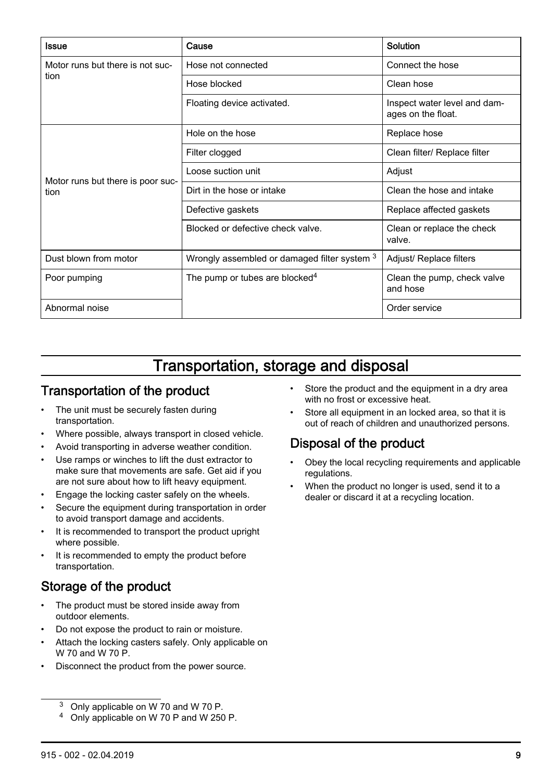<span id="page-8-0"></span>

| Issue                             | Cause                                        | Solution                                           |
|-----------------------------------|----------------------------------------------|----------------------------------------------------|
| Motor runs but there is not suc-  | Hose not connected                           | Connect the hose                                   |
| tion                              | Hose blocked                                 | Clean hose                                         |
|                                   | Floating device activated.                   | Inspect water level and dam-<br>ages on the float. |
|                                   | Hole on the hose                             | Replace hose                                       |
|                                   | Filter clogged                               | Clean filter/ Replace filter                       |
| Motor runs but there is poor suc- | Loose suction unit                           | Adjust                                             |
| tion                              | Dirt in the hose or intake                   | Clean the hose and intake                          |
|                                   | Defective gaskets                            | Replace affected gaskets                           |
|                                   | Blocked or defective check valve.            | Clean or replace the check<br>valve.               |
| Dust blown from motor             | Wrongly assembled or damaged filter system 3 | Adjust/ Replace filters                            |
| Poor pumping                      | The pump or tubes are blocked <sup>4</sup>   | Clean the pump, check valve<br>and hose            |
| Abnormal noise                    |                                              | Order service                                      |

# Transportation, storage and disposal

#### Transportation of the product

- The unit must be securely fasten during transportation.
- Where possible, always transport in closed vehicle.
- Avoid transporting in adverse weather condition.
- Use ramps or winches to lift the dust extractor to make sure that movements are safe. Get aid if you are not sure about how to lift heavy equipment.
- Engage the locking caster safely on the wheels.
- Secure the equipment during transportation in order to avoid transport damage and accidents.
- It is recommended to transport the product upright where possible.
- It is recommended to empty the product before transportation.

#### Storage of the product

- The product must be stored inside away from outdoor elements.
- Do not expose the product to rain or moisture.
- Attach the locking casters safely. Only applicable on W 70 and W 70 P.
- Disconnect the product from the power source.
	- <sup>3</sup> Only applicable on W 70 and W 70 P.
	- <sup>4</sup> Only applicable on W 70 P and W 250 P.
- Store the product and the equipment in a dry area with no frost or excessive heat.
- Store all equipment in an locked area, so that it is out of reach of children and unauthorized persons.

# Disposal of the product

- Obey the local recycling requirements and applicable regulations.
- When the product no longer is used, send it to a dealer or discard it at a recycling location.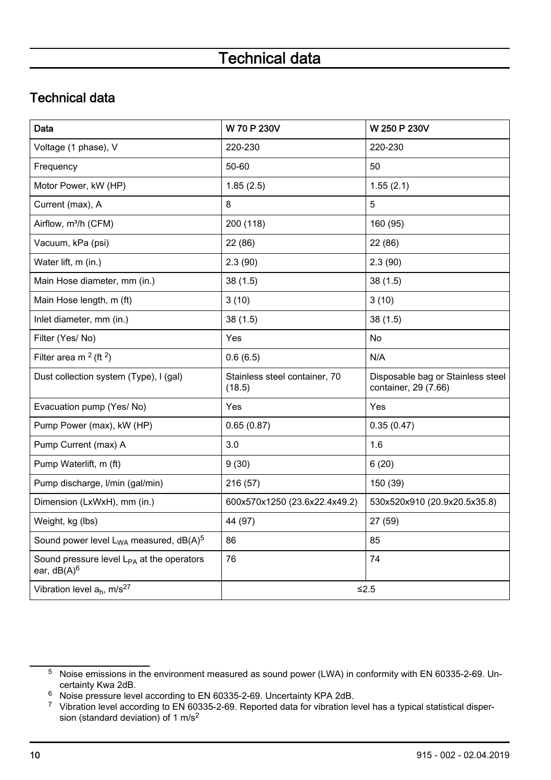# Technical data

# <span id="page-9-0"></span>Technical data

| Data                                                                    | W 70 P 230V                             | W 250 P 230V                                              |
|-------------------------------------------------------------------------|-----------------------------------------|-----------------------------------------------------------|
| Voltage (1 phase), V                                                    | 220-230                                 | 220-230                                                   |
| Frequency                                                               | 50-60                                   | 50                                                        |
| Motor Power, kW (HP)                                                    | 1.85(2.5)                               | 1.55(2.1)                                                 |
| Current (max), A                                                        | 8                                       | 5                                                         |
| Airflow, m <sup>3</sup> /h (CFM)                                        | 200 (118)                               | 160 (95)                                                  |
| Vacuum, kPa (psi)                                                       | 22 (86)                                 | 22 (86)                                                   |
| Water lift, m (in.)                                                     | 2.3(90)                                 | 2.3(90)                                                   |
| Main Hose diameter, mm (in.)                                            | 38(1.5)                                 | 38(1.5)                                                   |
| Main Hose length, m (ft)                                                | 3(10)                                   | 3(10)                                                     |
| Inlet diameter, mm (in.)                                                | 38(1.5)                                 | 38(1.5)                                                   |
| Filter (Yes/No)                                                         | Yes                                     | No                                                        |
| Filter area m $2$ (ft $2$ )                                             | 0.6(6.5)                                | N/A                                                       |
| Dust collection system (Type), I (gal)                                  | Stainless steel container, 70<br>(18.5) | Disposable bag or Stainless steel<br>container, 29 (7.66) |
| Evacuation pump (Yes/ No)                                               | Yes                                     | Yes                                                       |
| Pump Power (max), kW (HP)                                               | 0.65(0.87)                              | 0.35(0.47)                                                |
| Pump Current (max) A                                                    | 3.0                                     | 1.6                                                       |
| Pump Waterlift, m (ft)                                                  | 9(30)                                   | 6(20)                                                     |
| Pump discharge, I/min (gal/min)                                         | 216 (57)                                | 150 (39)                                                  |
| Dimension (LxWxH), mm (in.)                                             | 600x570x1250 (23.6x22.4x49.2)           | 530x520x910 (20.9x20.5x35.8)                              |
| Weight, kg (lbs)                                                        | 44 (97)                                 | 27 (59)                                                   |
| Sound power level $L_{WA}$ measured, $dB(A)^5$                          | 86                                      | 85                                                        |
| Sound pressure level L <sub>PA</sub> at the operators<br>ear, $dB(A)^6$ | 76                                      | 74                                                        |
| Vibration level $a_h$ , m/s <sup>27</sup>                               |                                         | $≤2.5$                                                    |

<sup>5</sup> Noise emissions in the environment measured as sound power (LWA) in conformity with EN 60335-2-69. Uncertainty Kwa 2dB.

<sup>6</sup> Noise pressure level according to EN 60335-2-69. Uncertainty KPA 2dB.

<sup>7</sup> Vibration level according to EN 60335-2-69. Reported data for vibration level has a typical statistical dispersion (standard deviation) of 1 m/s<sup>2</sup>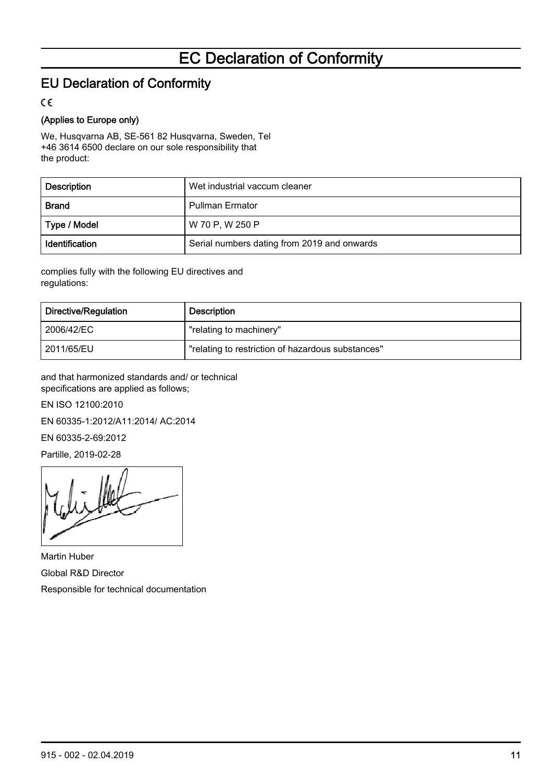# EC Declaration of Conformity

## <span id="page-10-0"></span>EU Declaration of Conformity

 $\epsilon$ 

#### (Applies to Europe only)

We, Husqvarna AB, SE-561 82 Husqvarna, Sweden, Tel +46 3614 6500 declare on our sole responsibility that the product:

| Description    | Wet industrial vaccum cleaner               |
|----------------|---------------------------------------------|
| <b>Brand</b>   | <b>Pullman Ermator</b>                      |
| Type / Model   | W 70 P, W 250 P                             |
| Identification | Serial numbers dating from 2019 and onwards |

complies fully with the following EU directives and regulations:

| Directive/Regulation | Description                                       |
|----------------------|---------------------------------------------------|
| 2006/42/EC           | "relating to machinery"                           |
| 2011/65/EU           | "relating to restriction of hazardous substances" |

and that harmonized standards and/ or technical specifications are applied as follows;

EN ISO 12100:2010

EN 60335-1:2012/A11:2014/ AC:2014

EN 60335-2-69:2012

Partille, 2019-02-28

Martin Huber Global R&D Director Responsible for technical documentation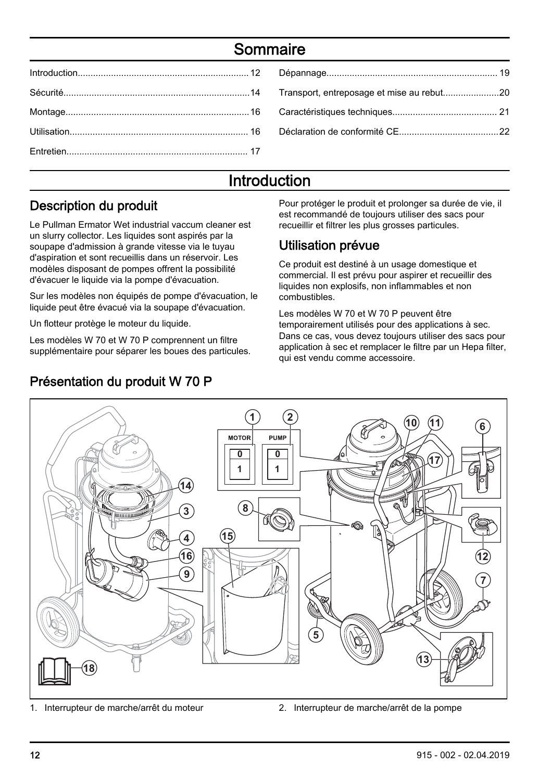# Sommaire

# Introduction

## Description du produit

Le Pullman Ermator Wet industrial vaccum cleaner est un slurry collector. Les liquides sont aspirés par la soupape d'admission à grande vitesse via le tuyau d'aspiration et sont recueillis dans un réservoir. Les modèles disposant de pompes offrent la possibilité d'évacuer le liquide via la pompe d'évacuation.

Sur les modèles non équipés de pompe d'évacuation, le liquide peut être évacué via la soupape d'évacuation.

Un flotteur protège le moteur du liquide.

Les modèles W 70 et W 70 P comprennent un filtre supplémentaire pour séparer les boues des particules.

# Présentation du produit W 70 P

Pour protéger le produit et prolonger sa durée de vie, il est recommandé de toujours utiliser des sacs pour recueillir et filtrer les plus grosses particules.

#### Utilisation prévue

Ce produit est destiné à un usage domestique et commercial. Il est prévu pour aspirer et recueillir des liquides non explosifs, non inflammables et non combustibles.

Les modèles W 70 et W 70 P peuvent être temporairement utilisés pour des applications à sec. Dans ce cas, vous devez toujours utiliser des sacs pour application à sec et remplacer le filtre par un Hepa filter, qui est vendu comme accessoire.



<sup>1.</sup> Interrupteur de marche/arrêt du moteur 2. Interrupteur de marche/arrêt de la pompe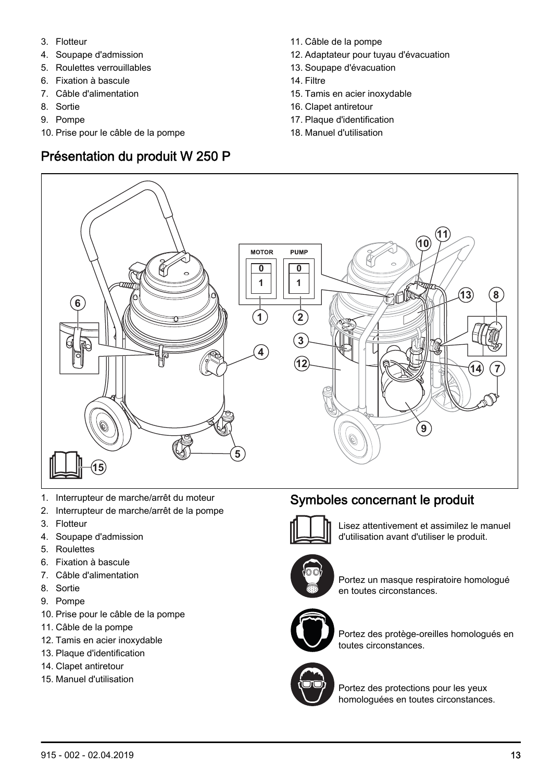- 3. Flotteur
- 4. Soupape d'admission
- 5. Roulettes verrouillables
- 6. Fixation à bascule
- 7. Câble d'alimentation
- 8. Sortie
- 9. Pompe
- 10. Prise pour le câble de la pompe

## Présentation du produit W 250 P

- 11. Câble de la pompe
- 12. Adaptateur pour tuyau d'évacuation
- 13. Soupape d'évacuation
- 14. Filtre
- 15. Tamis en acier inoxydable
- 16. Clapet antiretour
- 17. Plaque d'identification
- 18. Manuel d'utilisation



- 1. Interrupteur de marche/arrêt du moteur
- 2. Interrupteur de marche/arrêt de la pompe
- 3. Flotteur
- 4. Soupape d'admission
- 5. Roulettes
- 6. Fixation à bascule
- 7. Câble d'alimentation
- 8. Sortie
- 9. Pompe
- 10. Prise pour le câble de la pompe
- 11. Câble de la pompe
- 12. Tamis en acier inoxydable
- 13. Plaque d'identification
- 14. Clapet antiretour
- 15. Manuel d'utilisation

## Symboles concernant le produit



Lisez attentivement et assimilez le manuel d'utilisation avant d'utiliser le produit.



Portez un masque respiratoire homologué en toutes circonstances.



Portez des protège-oreilles homologués en toutes circonstances.



Portez des protections pour les yeux homologuées en toutes circonstances.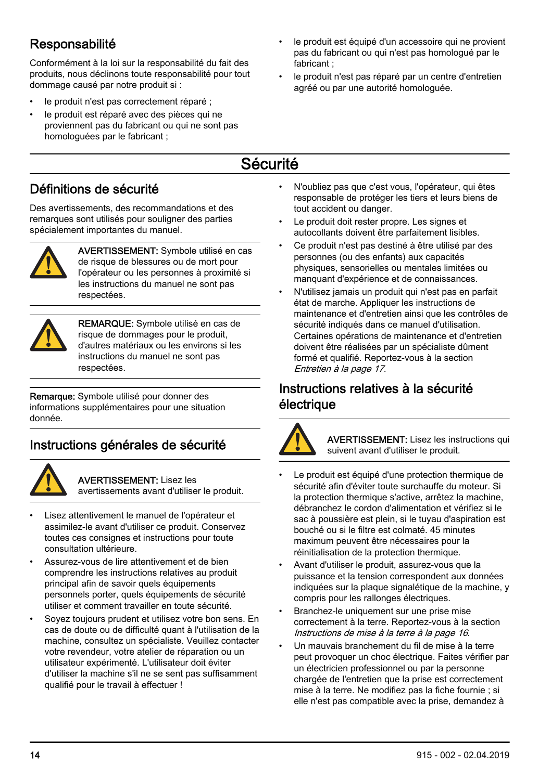# <span id="page-13-0"></span>**Responsabilité**

Conformément à la loi sur la responsabilité du fait des produits, nous déclinons toute responsabilité pour tout dommage causé par notre produit si :

- le produit n'est pas correctement réparé ;
- le produit est réparé avec des pièces qui ne proviennent pas du fabricant ou qui ne sont pas homologuées par le fabricant ;
	-

fabricant ;

# Sécurité

#### Définitions de sécurité

Des avertissements, des recommandations et des remarques sont utilisés pour souligner des parties spécialement importantes du manuel.



AVERTISSEMENT: Symbole utilisé en cas de risque de blessures ou de mort pour l'opérateur ou les personnes à proximité si les instructions du manuel ne sont pas respectées.



REMARQUE: Symbole utilisé en cas de risque de dommages pour le produit, d'autres matériaux ou les environs si les instructions du manuel ne sont pas respectées.

Remarque: Symbole utilisé pour donner des informations supplémentaires pour une situation donnée.

## Instructions générales de sécurité



AVERTISSEMENT: Lisez les avertissements avant d'utiliser le produit.

- Lisez attentivement le manuel de l'opérateur et assimilez-le avant d'utiliser ce produit. Conservez toutes ces consignes et instructions pour toute consultation ultérieure.
- Assurez-vous de lire attentivement et de bien comprendre les instructions relatives au produit principal afin de savoir quels équipements personnels porter, quels équipements de sécurité utiliser et comment travailler en toute sécurité.
- Sovez toujours prudent et utilisez votre bon sens. En cas de doute ou de difficulté quant à l'utilisation de la machine, consultez un spécialiste. Veuillez contacter votre revendeur, votre atelier de réparation ou un utilisateur expérimenté. L'utilisateur doit éviter d'utiliser la machine s'il ne se sent pas suffisamment qualifié pour le travail à effectuer !

• N'oubliez pas que c'est vous, l'opérateur, qui êtes responsable de protéger les tiers et leurs biens de tout accident ou danger.

le produit est équipé d'un accessoire qui ne provient pas du fabricant ou qui n'est pas homologué par le

le produit n'est pas réparé par un centre d'entretien

agréé ou par une autorité homologuée.

- Le produit doit rester propre. Les signes et autocollants doivent être parfaitement lisibles.
- Ce produit n'est pas destiné à être utilisé par des personnes (ou des enfants) aux capacités physiques, sensorielles ou mentales limitées ou manquant d'expérience et de connaissances.
- N'utilisez jamais un produit qui n'est pas en parfait état de marche. Appliquer les instructions de maintenance et d'entretien ainsi que les contrôles de sécurité indiqués dans ce manuel d'utilisation. Certaines opérations de maintenance et d'entretien doivent être réalisées par un spécialiste dûment formé et qualifié. Reportez-vous à la section [Entretien](#page-16-0) à la page 17.

#### Instructions relatives à la sécurité électrique



AVERTISSEMENT: Lisez les instructions qui suivent avant d'utiliser le produit.

- Le produit est équipé d'une protection thermique de sécurité afin d'éviter toute surchauffe du moteur. Si la protection thermique s'active, arrêtez la machine débranchez le cordon d'alimentation et vérifiez si le sac à poussière est plein, si le tuyau d'aspiration est bouché ou si le filtre est colmaté. 45 minutes maximum peuvent être nécessaires pour la réinitialisation de la protection thermique.
- Avant d'utiliser le produit, assurez-vous que la puissance et la tension correspondent aux données indiquées sur la plaque signalétique de la machine, y compris pour les rallonges électriques.
- Branchez-le uniquement sur une prise mise correctement à la terre. Reportez-vous à la section [Instructions de mise à la terre](#page-15-0) à la page 16.
- Un mauvais branchement du fil de mise à la terre peut provoquer un choc électrique. Faites vérifier par un électricien professionnel ou par la personne chargée de l'entretien que la prise est correctement mise à la terre. Ne modifiez pas la fiche fournie ; si elle n'est pas compatible avec la prise, demandez à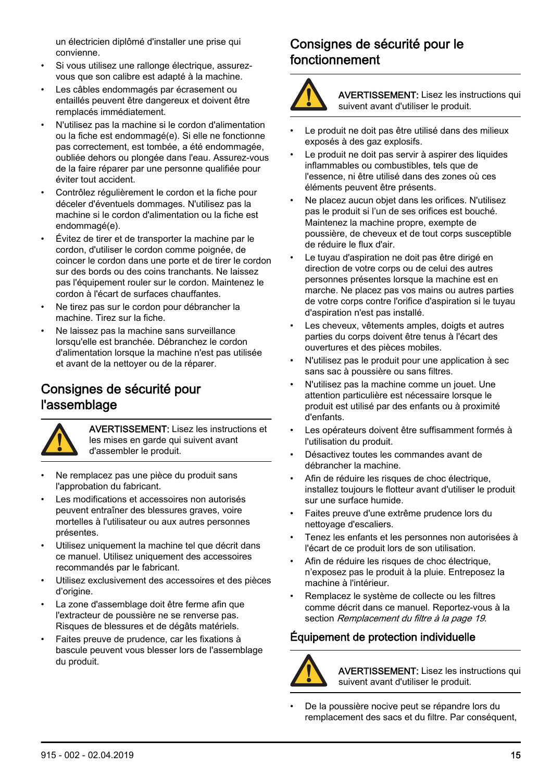<span id="page-14-0"></span>un électricien diplômé d'installer une prise qui convienne.

- Si vous utilisez une rallonge électrique, assurezvous que son calibre est adapté à la machine.
- Les câbles endommagés par écrasement ou entaillés peuvent être dangereux et doivent être remplacés immédiatement.
- N'utilisez pas la machine si le cordon d'alimentation ou la fiche est endommagé(e). Si elle ne fonctionne pas correctement, est tombée, a été endommagée, oubliée dehors ou plongée dans l'eau. Assurez-vous de la faire réparer par une personne qualifiée pour éviter tout accident.
- Contrôlez régulièrement le cordon et la fiche pour déceler d'éventuels dommages. N'utilisez pas la machine si le cordon d'alimentation ou la fiche est endommagé(e).
- Évitez de tirer et de transporter la machine par le cordon, d'utiliser le cordon comme poignée, de coincer le cordon dans une porte et de tirer le cordon sur des bords ou des coins tranchants. Ne laissez pas l'équipement rouler sur le cordon. Maintenez le cordon à l'écart de surfaces chauffantes.
- Ne tirez pas sur le cordon pour débrancher la machine. Tirez sur la fiche.
- Ne laissez pas la machine sans surveillance lorsqu'elle est branchée. Débranchez le cordon d'alimentation lorsque la machine n'est pas utilisée et avant de la nettoyer ou de la réparer.

#### Consignes de sécurité pour l'assemblage



AVERTISSEMENT: Lisez les instructions et les mises en garde qui suivent avant d'assembler le produit.

- Ne remplacez pas une pièce du produit sans l'approbation du fabricant.
- Les modifications et accessoires non autorisés peuvent entraîner des blessures graves, voire mortelles à l'utilisateur ou aux autres personnes présentes.
- Utilisez uniquement la machine tel que décrit dans ce manuel. Utilisez uniquement des accessoires recommandés par le fabricant.
- Utilisez exclusivement des accessoires et des pièces d'origine.
- La zone d'assemblage doit être ferme afin que l'extracteur de poussière ne se renverse pas. Risques de blessures et de dégâts matériels.
- Faites preuve de prudence, car les fixations à bascule peuvent vous blesser lors de l'assemblage du produit.

#### Consignes de sécurité pour le fonctionnement



AVERTISSEMENT: Lisez les instructions qui suivent avant d'utiliser le produit.

- Le produit ne doit pas être utilisé dans des milieux exposés à des gaz explosifs.
- Le produit ne doit pas servir à aspirer des liquides inflammables ou combustibles, tels que de l'essence, ni être utilisé dans des zones où ces éléments peuvent être présents.
- Ne placez aucun objet dans les orifices. N'utilisez pas le produit si l'un de ses orifices est bouché. Maintenez la machine propre, exempte de poussière, de cheveux et de tout corps susceptible de réduire le flux d'air.
- Le tuyau d'aspiration ne doit pas être dirigé en direction de votre corps ou de celui des autres personnes présentes lorsque la machine est en marche. Ne placez pas vos mains ou autres parties de votre corps contre l'orifice d'aspiration si le tuyau d'aspiration n'est pas installé.
- Les cheveux, vêtements amples, doigts et autres parties du corps doivent être tenus à l'écart des ouvertures et des pièces mobiles.
- N'utilisez pas le produit pour une application à sec sans sac à poussière ou sans filtres.
- N'utilisez pas la machine comme un jouet. Une attention particulière est nécessaire lorsque le produit est utilisé par des enfants ou à proximité d'enfants.
- Les opérateurs doivent être suffisamment formés à l'utilisation du produit.
- Désactivez toutes les commandes avant de débrancher la machine.
- Afin de réduire les risques de choc électrique. installez toujours le flotteur avant d'utiliser le produit sur une surface humide.
- Faites preuve d'une extrême prudence lors du nettoyage d'escaliers.
- Tenez les enfants et les personnes non autorisées à l'écart de ce produit lors de son utilisation.
- Afin de réduire les risques de choc électrique, n'exposez pas le produit à la pluie. Entreposez la machine à l'intérieur.
- Remplacez le système de collecte ou les filtres comme décrit dans ce manuel. Reportez-vous à la section [Remplacement du filtre](#page-18-0) à la page 19.

#### Équipement de protection individuelle



AVERTISSEMENT: Lisez les instructions qui suivent avant d'utiliser le produit.

• De la poussière nocive peut se répandre lors du remplacement des sacs et du filtre. Par conséquent,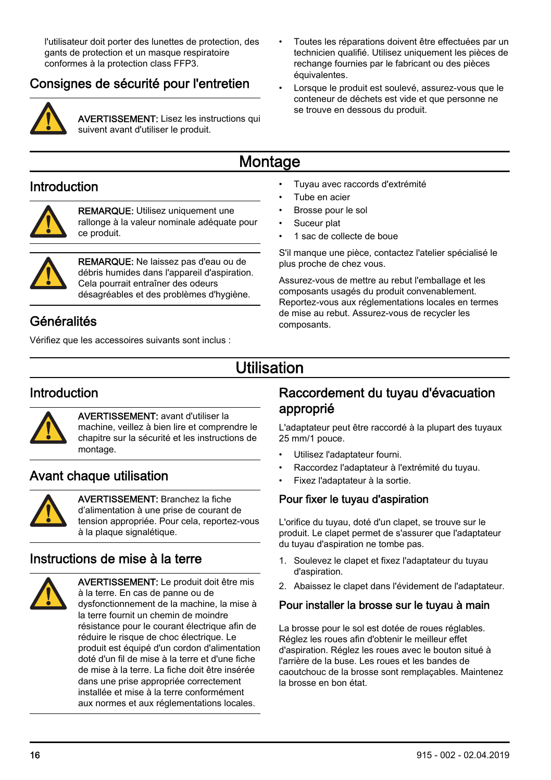<span id="page-15-0"></span>l'utilisateur doit porter des lunettes de protection, des gants de protection et un masque respiratoire conformes à la protection class FFP3.

#### Consignes de sécurité pour l'entretien



AVERTISSEMENT: Lisez les instructions qui suivent avant d'utiliser le produit.

- Toutes les réparations doivent être effectuées par un technicien qualifié. Utilisez uniquement les pièces de rechange fournies par le fabricant ou des pièces équivalentes.
- Lorsque le produit est soulevé, assurez-vous que le conteneur de déchets est vide et que personne ne se trouve en dessous du produit.

# **Montage**

#### Introduction



REMARQUE: Utilisez uniquement une rallonge à la valeur nominale adéquate pour ce produit.



REMARQUE: Ne laissez pas d'eau ou de débris humides dans l'appareil d'aspiration. Cela pourrait entraîner des odeurs désagréables et des problèmes d'hygiène.

## Généralités

Vérifiez que les accessoires suivants sont inclus :

- Tuyau avec raccords d'extrémité
- Tube en acier
- Brosse pour le sol
- Suceur plat
- 1 sac de collecte de boue

S'il manque une pièce, contactez l'atelier spécialisé le plus proche de chez vous.

Assurez-vous de mettre au rebut l'emballage et les composants usagés du produit convenablement. Reportez-vous aux réglementations locales en termes de mise au rebut. Assurez-vous de recycler les composants.

# Utilisation

#### Introduction



AVERTISSEMENT: avant d'utiliser la machine, veillez à bien lire et comprendre le chapitre sur la sécurité et les instructions de montage.

## Avant chaque utilisation



AVERTISSEMENT: Branchez la fiche d'alimentation à une prise de courant de tension appropriée. Pour cela, reportez-vous à la plaque signalétique.

## Instructions de mise à la terre



AVERTISSEMENT: Le produit doit être mis à la terre. En cas de panne ou de dysfonctionnement de la machine, la mise à la terre fournit un chemin de moindre résistance pour le courant électrique afin de réduire le risque de choc électrique. Le produit est équipé d'un cordon d'alimentation doté d'un fil de mise à la terre et d'une fiche de mise à la terre. La fiche doit être insérée dans une prise appropriée correctement installée et mise à la terre conformément aux normes et aux réglementations locales.

#### Raccordement du tuyau d'évacuation approprié

L'adaptateur peut être raccordé à la plupart des tuyaux 25 mm/1 pouce.

- Utilisez l'adaptateur fourni.
- Raccordez l'adaptateur à l'extrémité du tuyau.
- Fixez l'adaptateur à la sortie.

#### Pour fixer le tuyau d'aspiration

L'orifice du tuyau, doté d'un clapet, se trouve sur le produit. Le clapet permet de s'assurer que l'adaptateur du tuyau d'aspiration ne tombe pas.

- 1. Soulevez le clapet et fixez l'adaptateur du tuyau d'aspiration.
- 2. Abaissez le clapet dans l'évidement de l'adaptateur.

#### Pour installer la brosse sur le tuyau à main

La brosse pour le sol est dotée de roues réglables. Réglez les roues afin d'obtenir le meilleur effet d'aspiration. Réglez les roues avec le bouton situé à l'arrière de la buse. Les roues et les bandes de caoutchouc de la brosse sont remplaçables. Maintenez la brosse en bon état.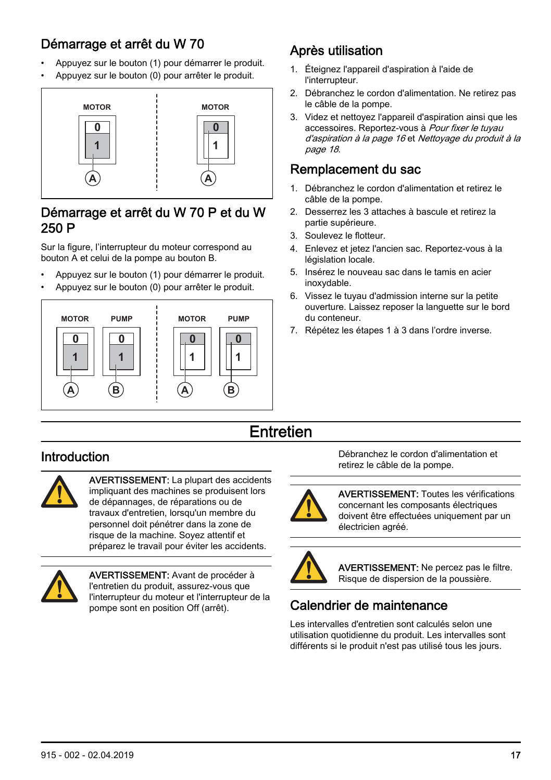# <span id="page-16-0"></span>Démarrage et arrêt du W 70

- Appuyez sur le bouton (1) pour démarrer le produit.
- Appuyez sur le bouton (0) pour arrêter le produit.



#### Démarrage et arrêt du W 70 P et du W 250 P

Sur la figure, l'interrupteur du moteur correspond au bouton A et celui de la pompe au bouton B.

- Appuyez sur le bouton (1) pour démarrer le produit.
- Appuyez sur le bouton (0) pour arrêter le produit.



# Après utilisation

- 1. Éteignez l'appareil d'aspiration à l'aide de l'interrupteur.
- 2. Débranchez le cordon d'alimentation. Ne retirez pas le câble de la pompe.
- 3. Videz et nettoyez l'appareil d'aspiration ainsi que les accessoires. Reportez-vous à [Pour fixer le tuyau](#page-15-0) [d'aspiration](#page-15-0) à la page 16 et [Nettoyage du produit](#page-17-0) à la page 18.

#### Remplacement du sac

- 1. Débranchez le cordon d'alimentation et retirez le câble de la pompe.
- 2. Desserrez les 3 attaches à bascule et retirez la partie supérieure.
- 3. Soulevez le flotteur.
- 4. Enlevez et jetez l'ancien sac. Reportez-vous à la législation locale.
- 5. Insérez le nouveau sac dans le tamis en acier inoxydable.
- 6. Vissez le tuyau d'admission interne sur la petite ouverture. Laissez reposer la languette sur le bord du conteneur.
- 7. Répétez les étapes 1 à 3 dans l'ordre inverse.

# **Entretien**

# Introduction



AVERTISSEMENT: La plupart des accidents impliquant des machines se produisent lors de dépannages, de réparations ou de travaux d'entretien, lorsqu'un membre du personnel doit pénétrer dans la zone de risque de la machine. Soyez attentif et préparez le travail pour éviter les accidents.



AVERTISSEMENT: Avant de procéder à l'entretien du produit, assurez-vous que l'interrupteur du moteur et l'interrupteur de la pompe sont en position Off (arrêt).

Débranchez le cordon d'alimentation et retirez le câble de la pompe.



AVERTISSEMENT: Toutes les vérifications concernant les composants électriques doivent être effectuées uniquement par un électricien agréé.



AVERTISSEMENT: Ne percez pas le filtre. Risque de dispersion de la poussière.

# Calendrier de maintenance

Les intervalles d'entretien sont calculés selon une utilisation quotidienne du produit. Les intervalles sont différents si le produit n'est pas utilisé tous les jours.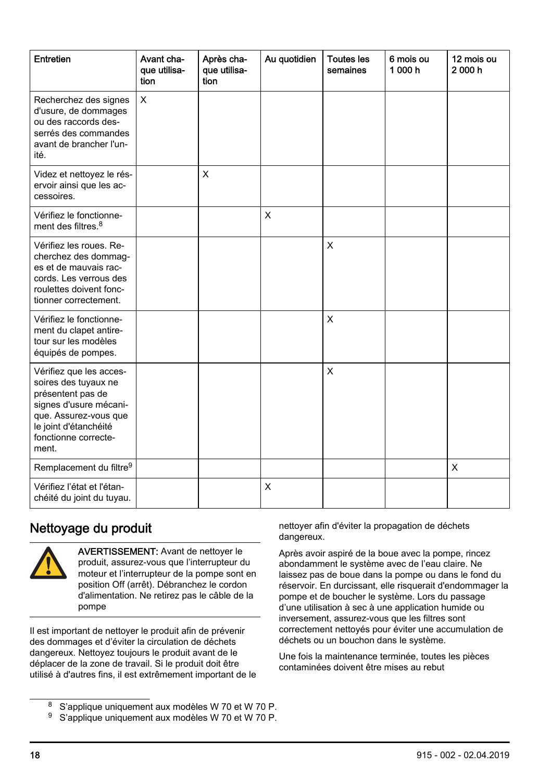<span id="page-17-0"></span>

| Entretien                                                                                                                                                                         | Avant cha-<br>que utilisa-<br>tion | Après cha-<br>que utilisa-<br>tion | Au quotidien | <b>Toutes les</b><br>semaines | 6 mois ou<br>1000h | 12 mois ou<br>2000h |
|-----------------------------------------------------------------------------------------------------------------------------------------------------------------------------------|------------------------------------|------------------------------------|--------------|-------------------------------|--------------------|---------------------|
| Recherchez des signes<br>d'usure, de dommages<br>ou des raccords des-<br>serrés des commandes<br>avant de brancher l'un-<br>ité.                                                  | X                                  |                                    |              |                               |                    |                     |
| Videz et nettoyez le rés-<br>ervoir ainsi que les ac-<br>cessoires.                                                                                                               |                                    | $\mathsf{x}$                       |              |                               |                    |                     |
| Vérifiez le fonctionne-<br>ment des filtres. <sup>8</sup>                                                                                                                         |                                    |                                    | X            |                               |                    |                     |
| Vérifiez les roues. Re-<br>cherchez des dommag-<br>es et de mauvais rac-<br>cords. Les verrous des<br>roulettes doivent fonc-<br>tionner correctement.                            |                                    |                                    |              | X                             |                    |                     |
| Vérifiez le fonctionne-<br>ment du clapet antire-<br>tour sur les modèles<br>équipés de pompes.                                                                                   |                                    |                                    |              | $\mathsf{x}$                  |                    |                     |
| Vérifiez que les acces-<br>soires des tuyaux ne<br>présentent pas de<br>signes d'usure mécani-<br>que. Assurez-vous que<br>le joint d'étanchéité<br>fonctionne correcte-<br>ment. |                                    |                                    |              | X                             |                    |                     |
| Remplacement du filtre <sup>9</sup>                                                                                                                                               |                                    |                                    |              |                               |                    | X                   |
| Vérifiez l'état et l'étan-<br>chéité du joint du tuyau.                                                                                                                           |                                    |                                    | X            |                               |                    |                     |

## Nettoyage du produit



AVERTISSEMENT: Avant de nettoyer le produit, assurez-vous que l'interrupteur du moteur et l'interrupteur de la pompe sont en position Off (arrêt). Débranchez le cordon d'alimentation. Ne retirez pas le câble de la pompe

Il est important de nettoyer le produit afin de prévenir des dommages et d'éviter la circulation de déchets dangereux. Nettoyez toujours le produit avant de le déplacer de la zone de travail. Si le produit doit être utilisé à d'autres fins, il est extrêmement important de le

- <sup>8</sup> S'applique uniquement aux modèles W 70 et W 70 P.
- <sup>9</sup> S'applique uniquement aux modèles W 70 et W 70 P.

nettoyer afin d'éviter la propagation de déchets dangereux.

Après avoir aspiré de la boue avec la pompe, rincez abondamment le système avec de l'eau claire. Ne laissez pas de boue dans la pompe ou dans le fond du réservoir. En durcissant, elle risquerait d'endommager la pompe et de boucher le système. Lors du passage d'une utilisation à sec à une application humide ou inversement, assurez-vous que les filtres sont correctement nettoyés pour éviter une accumulation de déchets ou un bouchon dans le système.

Une fois la maintenance terminée, toutes les pièces contaminées doivent être mises au rebut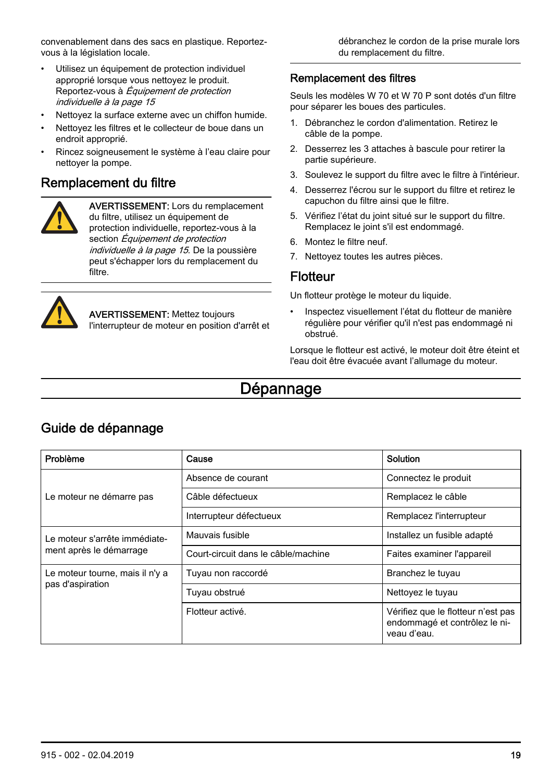<span id="page-18-0"></span>convenablement dans des sacs en plastique. Reportezvous à la législation locale.

- Utilisez un équipement de protection individuel approprié lorsque vous nettoyez le produit. Reportez-vous à [Équipement de protection](#page-14-0) [individuelle](#page-14-0) à la page 15
- Nettoyez la surface externe avec un chiffon humide.
- Nettoyez les filtres et le collecteur de boue dans un endroit approprié.
- Rincez soigneusement le système à l'eau claire pour nettoyer la pompe.

#### Remplacement du filtre



AVERTISSEMENT: Lors du remplacement du filtre, utilisez un équipement de protection individuelle, reportez-vous à la section *[Équipement de protection](#page-14-0)* [individuelle](#page-14-0) à la page 15. De la poussière peut s'échapper lors du remplacement du filtre.



AVERTISSEMENT: Mettez toujours l'interrupteur de moteur en position d'arrêt et débranchez le cordon de la prise murale lors du remplacement du filtre.

#### Remplacement des filtres

Seuls les modèles W 70 et W 70 P sont dotés d'un filtre pour séparer les boues des particules.

- 1. Débranchez le cordon d'alimentation. Retirez le câble de la pompe.
- 2. Desserrez les 3 attaches à bascule pour retirer la partie supérieure.
- 3. Soulevez le support du filtre avec le filtre à l'intérieur.
- 4. Desserrez l'écrou sur le support du filtre et retirez le capuchon du filtre ainsi que le filtre.
- 5. Vérifiez l'état du joint situé sur le support du filtre. Remplacez le joint s'il est endommagé.
- 6. Montez le filtre neuf.
- 7. Nettoyez toutes les autres pièces.

#### **Flotteur**

Un flotteur protège le moteur du liquide.

Inspectez visuellement l'état du flotteur de manière régulière pour vérifier qu'il n'est pas endommagé ni obstrué.

Lorsque le flotteur est activé, le moteur doit être éteint et l'eau doit être évacuée avant l'allumage du moteur.

# Dépannage

| Problème                        | Cause                               | Solution                                                                           |  |
|---------------------------------|-------------------------------------|------------------------------------------------------------------------------------|--|
|                                 | Absence de courant                  | Connectez le produit                                                               |  |
| Le moteur ne démarre pas        | Câble défectueux                    | Remplacez le câble                                                                 |  |
|                                 | Interrupteur défectueux             | Remplacez l'interrupteur                                                           |  |
| Le moteur s'arrête immédiate-   | Mauvais fusible                     | Installez un fusible adapté                                                        |  |
| ment après le démarrage         | Court-circuit dans le câble/machine | Faites examiner l'appareil                                                         |  |
| Le moteur tourne, mais il n'y a | Tuyau non raccordé                  | Branchez le tuyau                                                                  |  |
| pas d'aspiration                | Tuyau obstrué                       | Nettoyez le tuyau                                                                  |  |
|                                 | Flotteur activé.                    | Vérifiez que le flotteur n'est pas<br>endommagé et contrôlez le ni-<br>veau d'eau. |  |

#### Guide de dépannage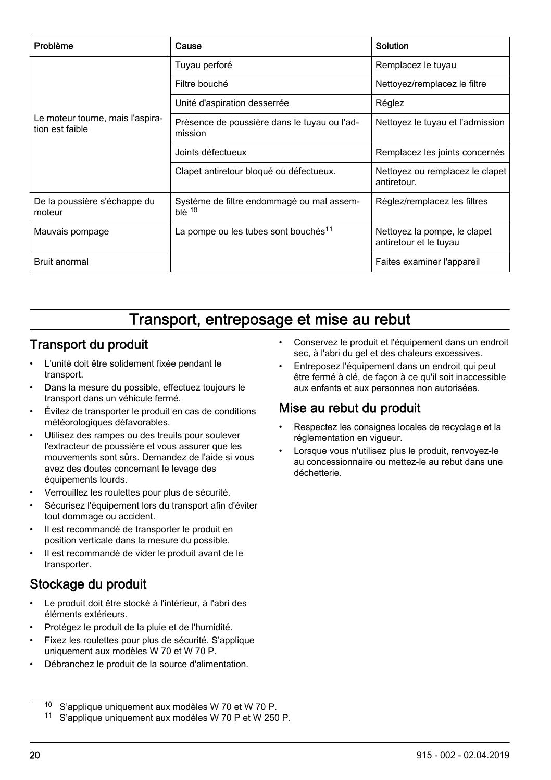<span id="page-19-0"></span>

| Problème                                            | Cause                                                                                                      | Solution                                       |  |
|-----------------------------------------------------|------------------------------------------------------------------------------------------------------------|------------------------------------------------|--|
|                                                     | Tuyau perforé                                                                                              | Remplacez le tuyau                             |  |
|                                                     | Filtre bouché                                                                                              | Nettoyez/remplacez le filtre                   |  |
|                                                     | Unité d'aspiration desserrée                                                                               | Réglez                                         |  |
| Le moteur tourne, mais l'aspira-<br>tion est faible | Présence de poussière dans le tuyau ou l'ad-<br>mission                                                    | Nettoyez le tuyau et l'admission               |  |
|                                                     | Joints défectueux                                                                                          | Remplacez les joints concernés                 |  |
|                                                     | Clapet antiretour bloqué ou défectueux.                                                                    | Nettoyez ou remplacez le clapet<br>antiretour. |  |
| De la poussière s'échappe du<br>moteur              | Système de filtre endommagé ou mal assem-<br>$blé$ <sup>10</sup>                                           | Réglez/remplacez les filtres                   |  |
| Mauvais pompage                                     | La pompe ou les tubes sont bouchés <sup>11</sup><br>Nettoyez la pompe, le clapet<br>antiretour et le tuyau |                                                |  |
| Bruit anormal                                       |                                                                                                            | Faites examiner l'appareil                     |  |

# Transport, entreposage et mise au rebut

## Transport du produit

- L'unité doit être solidement fixée pendant le transport.
- Dans la mesure du possible, effectuez toujours le transport dans un véhicule fermé.
- Évitez de transporter le produit en cas de conditions météorologiques défavorables.
- Utilisez des rampes ou des treuils pour soulever l'extracteur de poussière et vous assurer que les mouvements sont sûrs. Demandez de l'aide si vous avez des doutes concernant le levage des équipements lourds.
- Verrouillez les roulettes pour plus de sécurité.
- Sécurisez l'équipement lors du transport afin d'éviter tout dommage ou accident.
- Il est recommandé de transporter le produit en position verticale dans la mesure du possible.
- Il est recommandé de vider le produit avant de le transporter.

## Stockage du produit

- Le produit doit être stocké à l'intérieur, à l'abri des éléments extérieurs.
- Protégez le produit de la pluie et de l'humidité.
- Fixez les roulettes pour plus de sécurité. S'applique uniquement aux modèles W 70 et W 70 P.
- Débranchez le produit de la source d'alimentation.
- Conservez le produit et l'équipement dans un endroit sec, à l'abri du gel et des chaleurs excessives.
- Entreposez l'équipement dans un endroit qui peut être fermé à clé, de façon à ce qu'il soit inaccessible aux enfants et aux personnes non autorisées.

#### Mise au rebut du produit

- Respectez les consignes locales de recyclage et la réglementation en vigueur.
- Lorsque vous n'utilisez plus le produit, renvoyez-le au concessionnaire ou mettez-le au rebut dans une déchetterie.

<sup>10</sup> S'applique uniquement aux modèles W 70 et W 70 P.

<sup>11</sup> S'applique uniquement aux modèles W 70 P et W 250 P.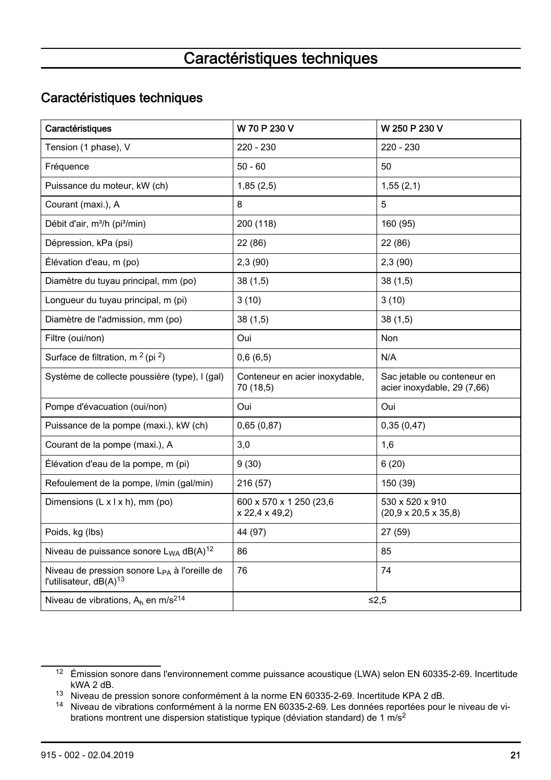# Caractéristiques techniques

#### <span id="page-20-0"></span>Caractéristiques techniques

| Caractéristiques                                                                               | W 70 P 230 V                                | W 250 P 230 V                                              |
|------------------------------------------------------------------------------------------------|---------------------------------------------|------------------------------------------------------------|
| Tension (1 phase), V                                                                           | $220 - 230$                                 | $220 - 230$                                                |
| Fréquence                                                                                      | $50 - 60$                                   | 50                                                         |
| Puissance du moteur, kW (ch)                                                                   | 1,85(2,5)                                   | 1,55(2,1)                                                  |
| Courant (maxi.), A                                                                             | 8                                           | 5                                                          |
| Débit d'air, m <sup>3</sup> /h (pi <sup>3</sup> /min)                                          | 200 (118)                                   | 160 (95)                                                   |
| Dépression, kPa (psi)                                                                          | 22 (86)                                     | 22 (86)                                                    |
| Élévation d'eau, m (po)                                                                        | 2,3(90)                                     | 2,3(90)                                                    |
| Diamètre du tuyau principal, mm (po)                                                           | 38(1,5)                                     | 38(1,5)                                                    |
| Longueur du tuyau principal, m (pi)                                                            | 3(10)                                       | 3(10)                                                      |
| Diamètre de l'admission, mm (po)                                                               | 38(1,5)                                     | 38(1,5)                                                    |
| Filtre (oui/non)                                                                               | Oui                                         | Non                                                        |
| Surface de filtration, $m^2$ (pi $^2$ )                                                        | 0,6(6,5)                                    | N/A                                                        |
| Système de collecte poussière (type), I (gal)                                                  | Conteneur en acier inoxydable,<br>70 (18,5) | Sac jetable ou conteneur en<br>acier inoxydable, 29 (7,66) |
| Pompe d'évacuation (oui/non)                                                                   | Oui                                         | Oui                                                        |
| Puissance de la pompe (maxi.), kW (ch)                                                         | 0,65(0,87)                                  | 0,35(0,47)                                                 |
| Courant de la pompe (maxi.), A                                                                 | 3,0                                         | 1,6                                                        |
| Élévation d'eau de la pompe, m (pi)                                                            | 9(30)                                       | 6(20)                                                      |
| Refoulement de la pompe, l/min (gal/min)                                                       | 216 (57)                                    | 150 (39)                                                   |
| Dimensions $(L \times L \times h)$ , mm (po)                                                   | 600 x 570 x 1 250 (23,6)<br>x 22,4 x 49,2   | 530 x 520 x 910<br>$(20.9 \times 20.5 \times 35.8)$        |
| Poids, kg (lbs)                                                                                | 44 (97)                                     | 27 (59)                                                    |
| Niveau de puissance sonore $L_{WA}$ dB(A) <sup>12</sup>                                        | 86                                          | 85                                                         |
| Niveau de pression sonore L <sub>PA</sub> à l'oreille de<br>l'utilisateur, dB(A) <sup>13</sup> | 76                                          | 74                                                         |
| Niveau de vibrations, $A_h$ en m/s <sup>214</sup>                                              |                                             | ≤2,5                                                       |

<sup>12</sup> Émission sonore dans l'environnement comme puissance acoustique (LWA) selon EN 60335-2-69. Incertitude kWA 2 dB.

<sup>13</sup> Niveau de pression sonore conformément à la norme EN 60335-2-69. Incertitude KPA 2 dB.

<sup>14</sup> Niveau de vibrations conformément à la norme EN 60335-2-69. Les données reportées pour le niveau de vibrations montrent une dispersion statistique typique (déviation standard) de 1 m/s<sup>2</sup>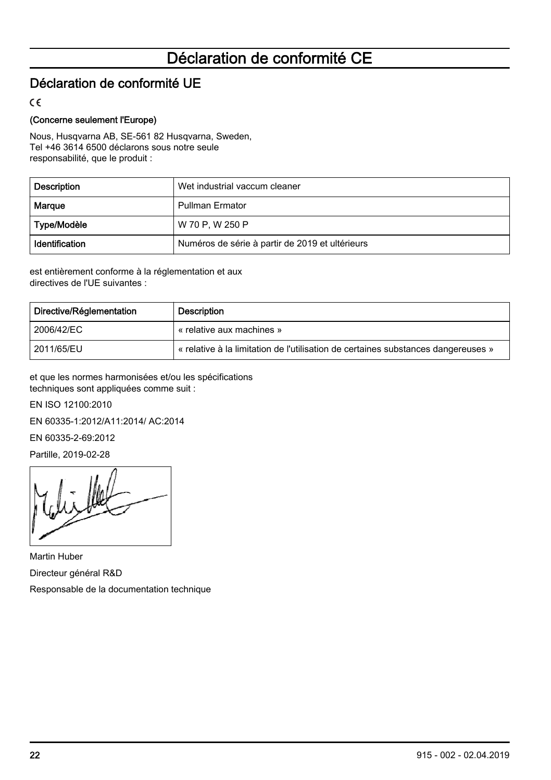# Déclaration de conformité CE

## <span id="page-21-0"></span>Déclaration de conformité UE

 $\epsilon$ 

#### (Concerne seulement l'Europe)

Nous, Husqvarna AB, SE-561 82 Husqvarna, Sweden, Tel +46 3614 6500 déclarons sous notre seule responsabilité, que le produit :

| <b>Description</b> | Wet industrial vaccum cleaner                   |
|--------------------|-------------------------------------------------|
| Margue             | <b>Pullman Ermator</b>                          |
| Type/Modèle        | W 70 P.W 250 P                                  |
| Identification     | Numéros de série à partir de 2019 et ultérieurs |

est entièrement conforme à la réglementation et aux directives de l'UE suivantes :

| Directive/Réglementation | Description                                                                       |
|--------------------------|-----------------------------------------------------------------------------------|
| 2006/42/EC               | « relative aux machines »                                                         |
| 2011/65/EU               | « relative à la limitation de l'utilisation de certaines substances dangereuses » |

et que les normes harmonisées et/ou les spécifications techniques sont appliquées comme suit :

EN ISO 12100:2010

EN 60335-1:2012/A11:2014/ AC:2014

EN 60335-2-69:2012

Partille, 2019-02-28

Martin Huber Directeur général R&D Responsable de la documentation technique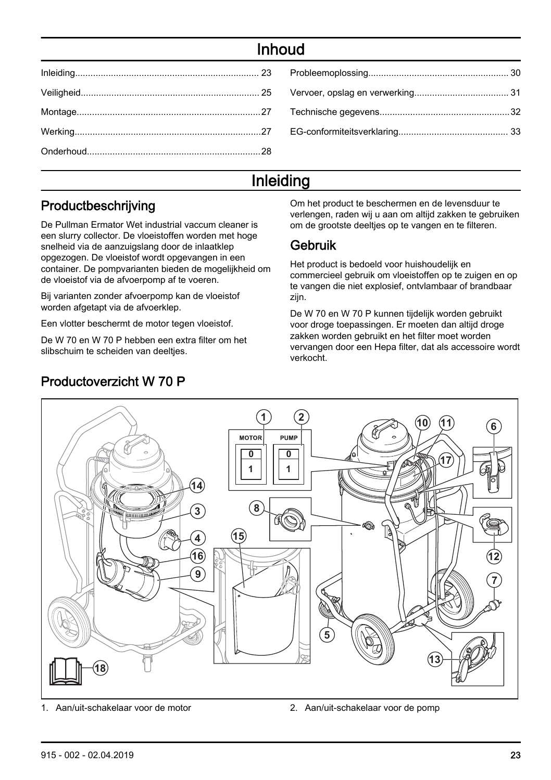# Inhoud

# Inleiding

# Productbeschrijving

De Pullman Ermator Wet industrial vaccum cleaner is een slurry collector. De vloeistoffen worden met hoge snelheid via de aanzuigslang door de inlaatklep opgezogen. De vloeistof wordt opgevangen in een container. De pompvarianten bieden de mogelijkheid om de vloeistof via de afvoerpomp af te voeren.

Bij varianten zonder afvoerpomp kan de vloeistof worden afgetapt via de afvoerklep.

Een vlotter beschermt de motor tegen vloeistof.

Productoverzicht W 70 P

De W 70 en W 70 P hebben een extra filter om het slibschuim te scheiden van deelties.

Om het product te beschermen en de levensduur te verlengen, raden wij u aan om altijd zakken te gebruiken om de grootste deeltjes op te vangen en te filteren.

#### Gebruik

Het product is bedoeld voor huishoudelijk en commercieel gebruik om vloeistoffen op te zuigen en op te vangen die niet explosief, ontvlambaar of brandbaar zijn.

De W 70 en W 70 P kunnen tijdelijk worden gebruikt voor droge toepassingen. Er moeten dan altijd droge zakken worden gebruikt en het filter moet worden vervangen door een Hepa filter, dat als accessoire wordt verkocht.



1. Aan/uit-schakelaar voor de motor 2. Aan/uit-schakelaar voor de pomp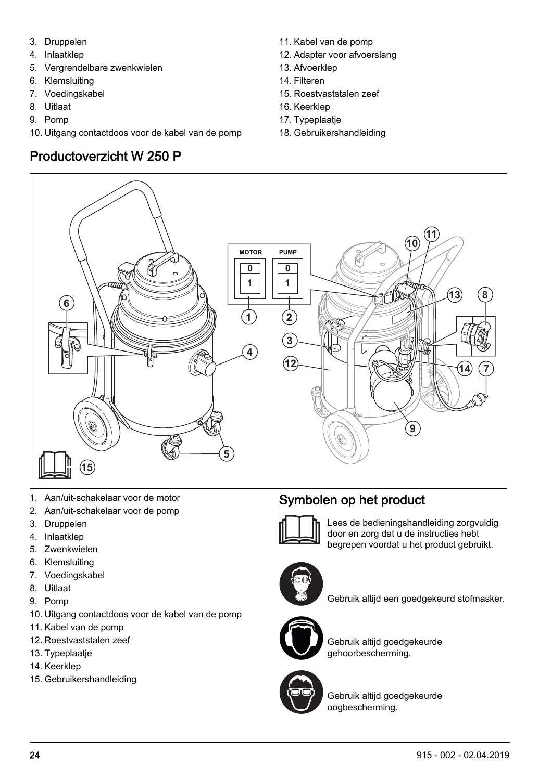- 3. Druppelen
- 4. Inlaatklep
- 5. Vergrendelbare zwenkwielen
- 6. Klemsluiting
- 7. Voedingskabel
- 8. Uitlaat
- 9. Pomp
- 10. Uitgang contactdoos voor de kabel van de pomp

# Productoverzicht W 250 P

- 11. Kabel van de pomp
- 12. Adapter voor afvoerslang
- 13. Afvoerklep
- 14. Filteren
- 15. Roestvaststalen zeef
- 16. Keerklep
- 17. Typeplaatje
- 18. Gebruikershandleiding



- 1. Aan/uit-schakelaar voor de motor
- 2. Aan/uit-schakelaar voor de pomp
- 3. Druppelen
- 4. Inlaatklep
- 5. Zwenkwielen
- 6. Klemsluiting
- 7. Voedingskabel
- 8. Uitlaat
- 9. Pomp
- 10. Uitgang contactdoos voor de kabel van de pomp
- 11. Kabel van de pomp
- 12. Roestvaststalen zeef
- 13. Typeplaatje
- 14. Keerklep
- 15. Gebruikershandleiding





Lees de bedieningshandleiding zorgvuldig door en zorg dat u de instructies hebt begrepen voordat u het product gebruikt.



Gebruik altijd een goedgekeurd stofmasker.



Gebruik altijd goedgekeurde gehoorbescherming.



Gebruik altijd goedgekeurde oogbescherming.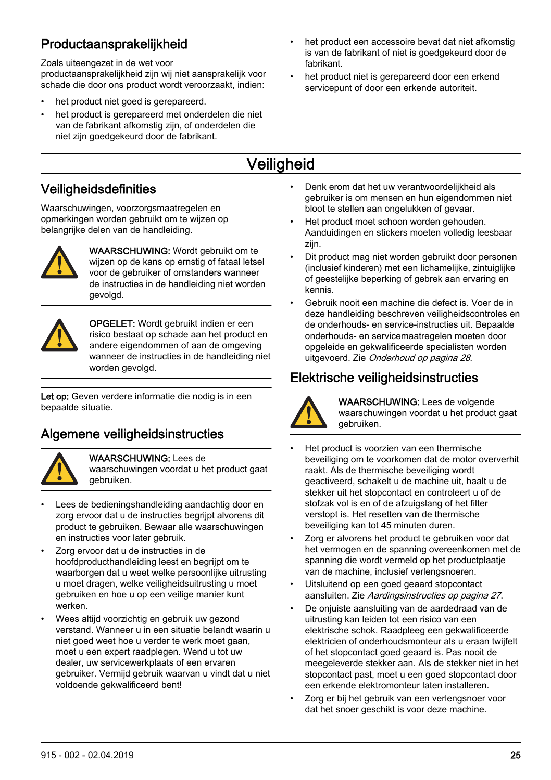# <span id="page-24-0"></span>Productaansprakelijkheid

Zoals uiteengezet in de wet voor

productaansprakelijkheid zijn wij niet aansprakelijk voor schade die door ons product wordt veroorzaakt, indien:

- het product niet goed is gerepareerd.
- het product is gerepareerd met onderdelen die niet van de fabrikant afkomstig zijn, of onderdelen die niet zijn goedgekeurd door de fabrikant.
- het product een accessoire bevat dat niet afkomstig is van de fabrikant of niet is goedgekeurd door de fabrikant.
- het product niet is gerepareerd door een erkend servicepunt of door een erkende autoriteit.

# **Veiligheid**

#### Veiligheidsdefinities

Waarschuwingen, voorzorgsmaatregelen en opmerkingen worden gebruikt om te wijzen op belangrijke delen van de handleiding.



WAARSCHUWING: Wordt gebruikt om te wijzen op de kans op ernstig of fataal letsel voor de gebruiker of omstanders wanneer de instructies in de handleiding niet worden gevolgd.



OPGELET: Wordt gebruikt indien er een risico bestaat op schade aan het product en andere eigendommen of aan de omgeving wanneer de instructies in de handleiding niet worden gevolgd.

Let op: Geven verdere informatie die nodig is in een bepaalde situatie.

# Algemene veiligheidsinstructies



WAARSCHUWING: Lees de

waarschuwingen voordat u het product gaat gebruiken.

- Lees de bedieningshandleiding aandachtig door en zorg ervoor dat u de instructies begrijpt alvorens dit product te gebruiken. Bewaar alle waarschuwingen en instructies voor later gebruik.
- Zorg ervoor dat u de instructies in de hoofdproducthandleiding leest en begrijpt om te waarborgen dat u weet welke persoonlijke uitrusting u moet dragen, welke veiligheidsuitrusting u moet gebruiken en hoe u op een veilige manier kunt werken.
- Wees altijd voorzichtig en gebruik uw gezond verstand. Wanneer u in een situatie belandt waarin u niet goed weet hoe u verder te werk moet gaan, moet u een expert raadplegen. Wend u tot uw dealer, uw servicewerkplaats of een ervaren gebruiker. Vermijd gebruik waarvan u vindt dat u niet voldoende gekwalificeerd bent!
- Denk erom dat het uw verantwoordelijkheid als gebruiker is om mensen en hun eigendommen niet bloot te stellen aan ongelukken of gevaar.
- Het product moet schoon worden gehouden. Aanduidingen en stickers moeten volledig leesbaar zijn.
- Dit product mag niet worden gebruikt door personen (inclusief kinderen) met een lichamelijke, zintuiglijke of geestelijke beperking of gebrek aan ervaring en kennis.
- Gebruik nooit een machine die defect is. Voer de in deze handleiding beschreven veiligheidscontroles en de onderhouds- en service-instructies uit. Bepaalde onderhouds- en servicemaatregelen moeten door opgeleide en gekwalificeerde specialisten worden uitgevoerd. Zie [Onderhoud](#page-27-0) op pagina 28.

# Elektrische veiligheidsinstructies



WAARSCHUWING: Lees de volgende waarschuwingen voordat u het product gaat gebruiken.

- Het product is voorzien van een thermische beveiliging om te voorkomen dat de motor oververhit raakt. Als de thermische beveiliging wordt geactiveerd, schakelt u de machine uit, haalt u de stekker uit het stopcontact en controleert u of de stofzak vol is en of de afzuigslang of het filter verstopt is. Het resetten van de thermische beveiliging kan tot 45 minuten duren.
- Zorg er alvorens het product te gebruiken voor dat het vermogen en de spanning overeenkomen met de spanning die wordt vermeld op het productplaatje van de machine, inclusief verlengsnoeren.
- Uitsluitend op een goed geaard stopcontact aansluiten. Zie [Aardingsinstructies](#page-26-0) op pagina 27.
- De onjuiste aansluiting van de aardedraad van de uitrusting kan leiden tot een risico van een elektrische schok. Raadpleeg een gekwalificeerde elektricien of onderhoudsmonteur als u eraan twijfelt of het stopcontact goed geaard is. Pas nooit de meegeleverde stekker aan. Als de stekker niet in het stopcontact past, moet u een goed stopcontact door een erkende elektromonteur laten installeren.
- Zorg er bij het gebruik van een verlengsnoer voor dat het snoer geschikt is voor deze machine.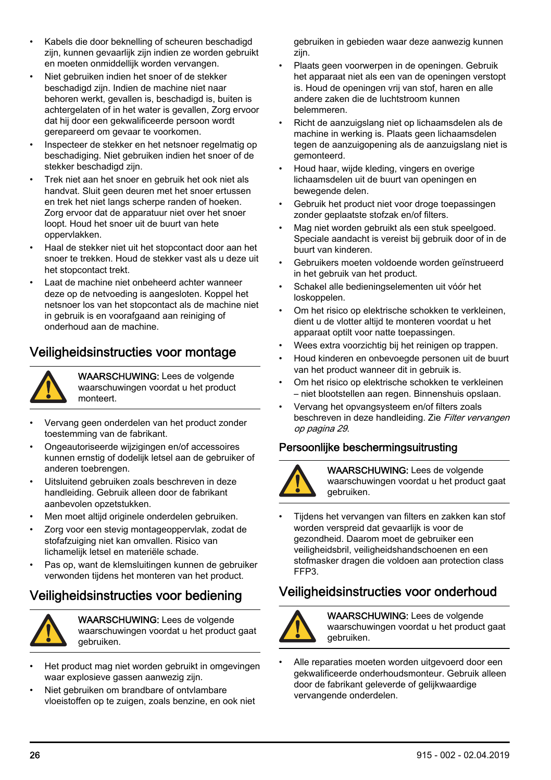- <span id="page-25-0"></span>• Kabels die door beknelling of scheuren beschadigd zijn, kunnen gevaarlijk zijn indien ze worden gebruikt en moeten onmiddellijk worden vervangen.
- Niet gebruiken indien het snoer of de stekker beschadigd zijn. Indien de machine niet naar behoren werkt, gevallen is, beschadigd is, buiten is achtergelaten of in het water is gevallen, Zorg ervoor dat hij door een gekwalificeerde persoon wordt gerepareerd om gevaar te voorkomen.
- Inspecteer de stekker en het netsnoer regelmatig op beschadiging. Niet gebruiken indien het snoer of de stekker beschadigd zijn.
- Trek niet aan het snoer en gebruik het ook niet als handvat. Sluit geen deuren met het snoer ertussen en trek het niet langs scherpe randen of hoeken. Zorg ervoor dat de apparatuur niet over het snoer loopt. Houd het snoer uit de buurt van hete oppervlakken.
- Haal de stekker niet uit het stopcontact door aan het snoer te trekken. Houd de stekker vast als u deze uit het stopcontact trekt.
- Laat de machine niet onbeheerd achter wanneer deze op de netvoeding is aangesloten. Koppel het netsnoer los van het stopcontact als de machine niet in gebruik is en voorafgaand aan reiniging of onderhoud aan de machine.

#### Veiligheidsinstructies voor montage



WAARSCHUWING: Lees de volgende waarschuwingen voordat u het product monteert.

- Vervang geen onderdelen van het product zonder toestemming van de fabrikant.
- Ongeautoriseerde wijzigingen en/of accessoires kunnen ernstig of dodelijk letsel aan de gebruiker of anderen toebrengen.
- Uitsluitend gebruiken zoals beschreven in deze handleiding. Gebruik alleen door de fabrikant aanbevolen opzetstukken.
- Men moet altijd originele onderdelen gebruiken.
- Zorg voor een stevig montageoppervlak, zodat de stofafzuiging niet kan omvallen. Risico van lichamelijk letsel en materiële schade.
- Pas op, want de klemsluitingen kunnen de gebruiker verwonden tijdens het monteren van het product.

#### Veiligheidsinstructies voor bediening



WAARSCHUWING: Lees de volgende waarschuwingen voordat u het product gaat gebruiken.

- Het product mag niet worden gebruikt in omgevingen waar explosieve gassen aanwezig zijn.
- Niet gebruiken om brandbare of ontvlambare vloeistoffen op te zuigen, zoals benzine, en ook niet

gebruiken in gebieden waar deze aanwezig kunnen zijn.

- Plaats geen voorwerpen in de openingen. Gebruik het apparaat niet als een van de openingen verstopt is. Houd de openingen vrij van stof, haren en alle andere zaken die de luchtstroom kunnen belemmeren.
- Richt de aanzuigslang niet op lichaamsdelen als de machine in werking is. Plaats geen lichaamsdelen tegen de aanzuigopening als de aanzuigslang niet is gemonteerd.
- Houd haar, wijde kleding, vingers en overige lichaamsdelen uit de buurt van openingen en bewegende delen.
- Gebruik het product niet voor droge toepassingen zonder geplaatste stofzak en/of filters.
- Mag niet worden gebruikt als een stuk speelgoed. Speciale aandacht is vereist bij gebruik door of in de buurt van kinderen.
- Gebruikers moeten voldoende worden geïnstrueerd in het gebruik van het product.
- Schakel alle bedieningselementen uit vóór het loskoppelen.
- Om het risico op elektrische schokken te verkleinen, dient u de vlotter altijd te monteren voordat u het apparaat optilt voor natte toepassingen.
- Wees extra voorzichtig bij het reinigen op trappen.
- Houd kinderen en onbevoegde personen uit de buurt van het product wanneer dit in gebruik is.
- Om het risico op elektrische schokken te verkleinen – niet blootstellen aan regen. Binnenshuis opslaan.
- Vervang het opvangsysteem en/of filters zoals beschreven in deze handleiding. Zie [Filter vervangen](#page-28-0) op pagina 29.

#### Persoonlijke beschermingsuitrusting



WAARSCHUWING: Lees de volgende waarschuwingen voordat u het product gaat gebruiken.

• Tijdens het vervangen van filters en zakken kan stof worden verspreid dat gevaarlijk is voor de gezondheid. Daarom moet de gebruiker een veiligheidsbril, veiligheidshandschoenen en een stofmasker dragen die voldoen aan protection class FFP3.

## Veiligheidsinstructies voor onderhoud



WAARSCHUWING: Lees de volgende waarschuwingen voordat u het product gaat gebruiken.

• Alle reparaties moeten worden uitgevoerd door een gekwalificeerde onderhoudsmonteur. Gebruik alleen door de fabrikant geleverde of gelijkwaardige vervangende onderdelen.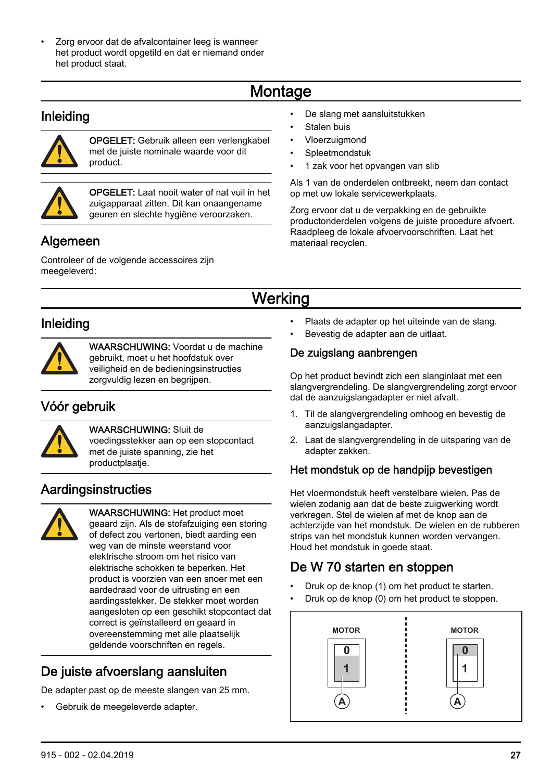<span id="page-26-0"></span>Zorg ervoor dat de afvalcontainer leeg is wanneer het product wordt opgetild en dat er niemand onder het product staat.

# **Montage**

#### Inleiding



OPGELET: Gebruik alleen een verlengkabel met de juiste nominale waarde voor dit product.



OPGELET: Laat nooit water of nat vuil in het zuigapparaat zitten. Dit kan onaangename geuren en slechte hygiëne veroorzaken.

# **Algemeen**

Controleer of de volgende accessoires zijn meegeleverd:

- De slang met aansluitstukken
- Stalen buis
- Vloerzuigmond
- Spleetmondstuk
- 1 zak voor het opvangen van slib

Als 1 van de onderdelen ontbreekt, neem dan contact op met uw lokale servicewerkplaats.

Zorg ervoor dat u de verpakking en de gebruikte productonderdelen volgens de juiste procedure afvoert. Raadpleeg de lokale afvoervoorschriften. Laat het materiaal recyclen.

# **Werking**

## Inleiding



WAARSCHUWING: Voordat u de machine gebruikt, moet u het hoofdstuk over veiligheid en de bedieningsinstructies zorgvuldig lezen en begrijpen.

# Vóór gebruik



#### WAARSCHUWING: Sluit de

voedingsstekker aan op een stopcontact met de juiste spanning, zie het productplaatje.

#### **Aardingsinstructies**



WAARSCHUWING: Het product moet geaard zijn. Als de stofafzuiging een storing of defect zou vertonen, biedt aarding een weg van de minste weerstand voor elektrische stroom om het risico van elektrische schokken te beperken. Het product is voorzien van een snoer met een aardedraad voor de uitrusting en een aardingsstekker. De stekker moet worden aangesloten op een geschikt stopcontact dat correct is geïnstalleerd en geaard in overeenstemming met alle plaatselijk geldende voorschriften en regels.

# De juiste afvoerslang aansluiten

De adapter past op de meeste slangen van 25 mm.

• Gebruik de meegeleverde adapter.

- Plaats de adapter op het uiteinde van de slang.
- Bevestig de adapter aan de uitlaat.

#### De zuigslang aanbrengen

Op het product bevindt zich een slanginlaat met een slangvergrendeling. De slangvergrendeling zorgt ervoor dat de aanzuigslangadapter er niet afvalt.

- 1. Til de slangvergrendeling omhoog en bevestig de aanzuigslangadapter.
- 2. Laat de slangvergrendeling in de uitsparing van de adapter zakken.

#### Het mondstuk op de handpijp bevestigen

Het vloermondstuk heeft verstelbare wielen. Pas de wielen zodanig aan dat de beste zuigwerking wordt verkregen. Stel de wielen af met de knop aan de achterzijde van het mondstuk. De wielen en de rubberen strips van het mondstuk kunnen worden vervangen. Houd het mondstuk in goede staat.

# De W 70 starten en stoppen

- Druk op de knop (1) om het product te starten.
- Druk op de knop (0) om het product te stoppen.

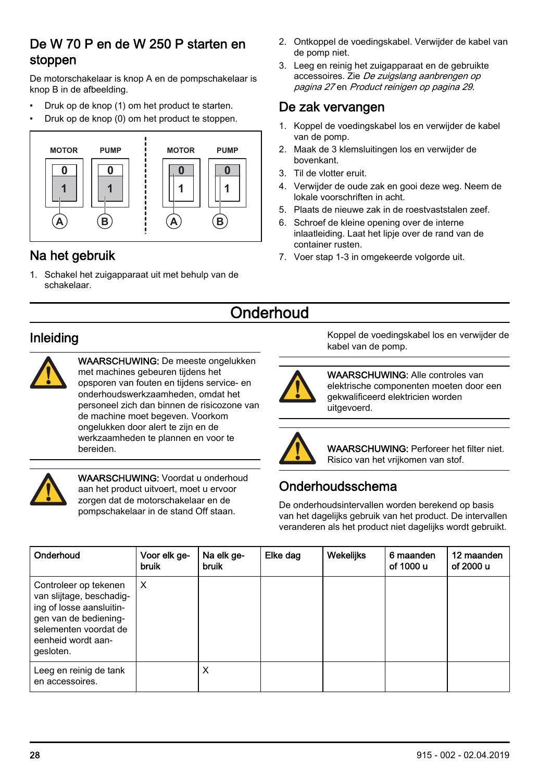#### <span id="page-27-0"></span>De W 70 P en de W 250 P starten en stoppen

De motorschakelaar is knop A en de pompschakelaar is knop B in de afbeelding.

- Druk op de knop (1) om het product te starten.
- Druk op de knop (0) om het product te stoppen.



## Na het gebruik

1. Schakel het zuigapparaat uit met behulp van de schakelaar.

- 2. Ontkoppel de voedingskabel. Verwijder de kabel van de pomp niet.
- 3. Leeg en reinig het zuigapparaat en de gebruikte accessoires. Zie [De zuigslang aanbrengen](#page-26-0) op pagina 27 en [Product reinigen](#page-28-0) op pagina 29.

#### De zak vervangen

- 1. Koppel de voedingskabel los en verwijder de kabel van de pomp.
- 2. Maak de 3 klemsluitingen los en verwijder de bovenkant.
- 3. Til de vlotter eruit.
- 4. Verwijder de oude zak en gooi deze weg. Neem de lokale voorschriften in acht.
- 5. Plaats de nieuwe zak in de roestvaststalen zeef.
- 6. Schroef de kleine opening over de interne inlaatleiding. Laat het lipje over de rand van de container rusten.
- 7. Voer stap 1-3 in omgekeerde volgorde uit.

# **Onderhoud**

## Inleiding



WAARSCHUWING: De meeste ongelukken met machines gebeuren tijdens het opsporen van fouten en tijdens service- en onderhoudswerkzaamheden, omdat het personeel zich dan binnen de risicozone van de machine moet begeven. Voorkom ongelukken door alert te zijn en de werkzaamheden te plannen en voor te bereiden.



WAARSCHUWING: Voordat u onderhoud aan het product uitvoert, moet u ervoor zorgen dat de motorschakelaar en de pompschakelaar in de stand Off staan.

Koppel de voedingskabel los en verwijder de kabel van de pomp.



WAARSCHUWING: Alle controles van elektrische componenten moeten door een gekwalificeerd elektricien worden uitgevoerd.



WAARSCHUWING: Perforeer het filter niet. Risico van het vrijkomen van stof.

## Onderhoudsschema

De onderhoudsintervallen worden berekend op basis van het dagelijks gebruik van het product. De intervallen veranderen als het product niet dagelijks wordt gebruikt.

| Onderhoud                                                                                                                                                          | Voor elk ge-<br>bruik | Na elk ge-<br>bruik | Elke dag | Wekelijks | 6 maanden<br>of 1000 u | 12 maanden<br>of 2000 u |
|--------------------------------------------------------------------------------------------------------------------------------------------------------------------|-----------------------|---------------------|----------|-----------|------------------------|-------------------------|
| Controleer op tekenen<br>van slijtage, beschadig-<br>ing of losse aansluitin-<br>gen van de bediening-<br>selementen voordat de<br>eenheid wordt aan-<br>gesloten. | X                     |                     |          |           |                        |                         |
| Leeg en reinig de tank<br>en accessoires.                                                                                                                          |                       | X                   |          |           |                        |                         |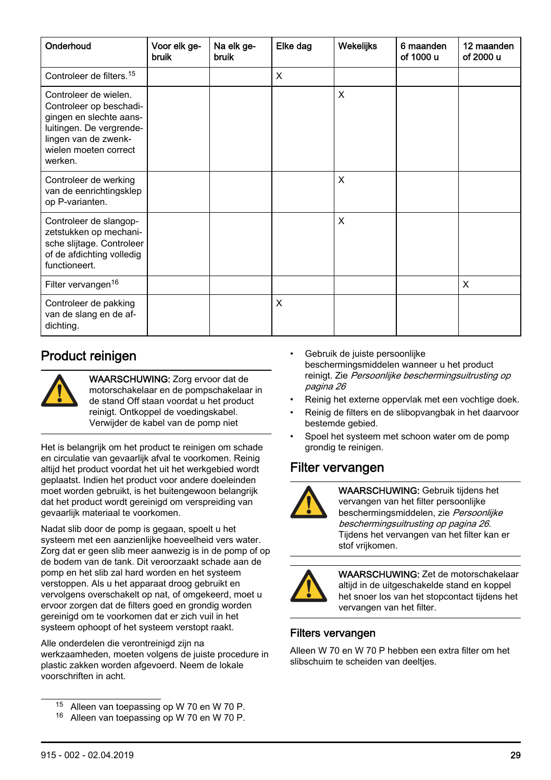<span id="page-28-0"></span>

| Onderhoud                                                                                                                                                           | Voor elk ge-<br>bruik | Na elk ge-<br>bruik | Elke dag | Wekelijks | 6 maanden<br>of 1000 u | 12 maanden<br>of 2000 u |
|---------------------------------------------------------------------------------------------------------------------------------------------------------------------|-----------------------|---------------------|----------|-----------|------------------------|-------------------------|
| Controleer de filters. <sup>15</sup>                                                                                                                                |                       |                     | X        |           |                        |                         |
| Controleer de wielen.<br>Controleer op beschadi-<br>gingen en slechte aans-<br>luitingen. De vergrende-<br>lingen van de zwenk-<br>wielen moeten correct<br>werken. |                       |                     |          | X         |                        |                         |
| Controleer de werking<br>van de eenrichtingsklep<br>op P-varianten.                                                                                                 |                       |                     |          | X         |                        |                         |
| Controleer de slangop-<br>zetstukken op mechani-<br>sche slijtage. Controleer<br>of de afdichting volledig<br>functioneert.                                         |                       |                     |          | X         |                        |                         |
| Filter vervangen <sup>16</sup>                                                                                                                                      |                       |                     |          |           |                        | X                       |
| Controleer de pakking<br>van de slang en de af-<br>dichting.                                                                                                        |                       |                     | X        |           |                        |                         |

#### Product reinigen



WAARSCHUWING: Zorg ervoor dat de motorschakelaar en de pompschakelaar in de stand Off staan voordat u het product reinigt. Ontkoppel de voedingskabel. Verwijder de kabel van de pomp niet

Het is belangrijk om het product te reinigen om schade en circulatie van gevaarlijk afval te voorkomen. Reinig altijd het product voordat het uit het werkgebied wordt geplaatst. Indien het product voor andere doeleinden moet worden gebruikt, is het buitengewoon belangrijk dat het product wordt gereinigd om verspreiding van gevaarlijk materiaal te voorkomen.

Nadat slib door de pomp is gegaan, spoelt u het systeem met een aanzienlijke hoeveelheid vers water. Zorg dat er geen slib meer aanwezig is in de pomp of op de bodem van de tank. Dit veroorzaakt schade aan de pomp en het slib zal hard worden en het systeem verstoppen. Als u het apparaat droog gebruikt en vervolgens overschakelt op nat, of omgekeerd, moet u ervoor zorgen dat de filters goed en grondig worden gereinigd om te voorkomen dat er zich vuil in het systeem ophoopt of het systeem verstopt raakt.

Alle onderdelen die verontreinigd zijn na werkzaamheden, moeten volgens de juiste procedure in plastic zakken worden afgevoerd. Neem de lokale voorschriften in acht.

<sup>15</sup> Alleen van toepassing op W 70 en W 70 P.

- Gebruik de juiste persoonlijke beschermingsmiddelen wanneer u het product reinigt. Zie [Persoonlijke beschermingsuitrusting](#page-25-0) op pagina 26
- Reinig het externe oppervlak met een vochtige doek.
- Reinig de filters en de slibopvangbak in het daarvoor bestemde gebied.
- Spoel het systeem met schoon water om de pomp grondig te reinigen.

#### Filter vervangen



WAARSCHUWING: Gebruik tijdens het vervangen van het filter persoonlijke beschermingsmiddelen, zie [Persoonlijke](#page-25-0) [beschermingsuitrusting](#page-25-0) op pagina 26. Tijdens het vervangen van het filter kan er stof vrijkomen.



WAARSCHUWING: Zet de motorschakelaar altijd in de uitgeschakelde stand en koppel het snoer los van het stopcontact tijdens het vervangen van het filter.

#### Filters vervangen

Alleen W 70 en W 70 P hebben een extra filter om het slibschuim te scheiden van deeltjes.

<sup>16</sup> Alleen van toepassing op W 70 en W 70 P.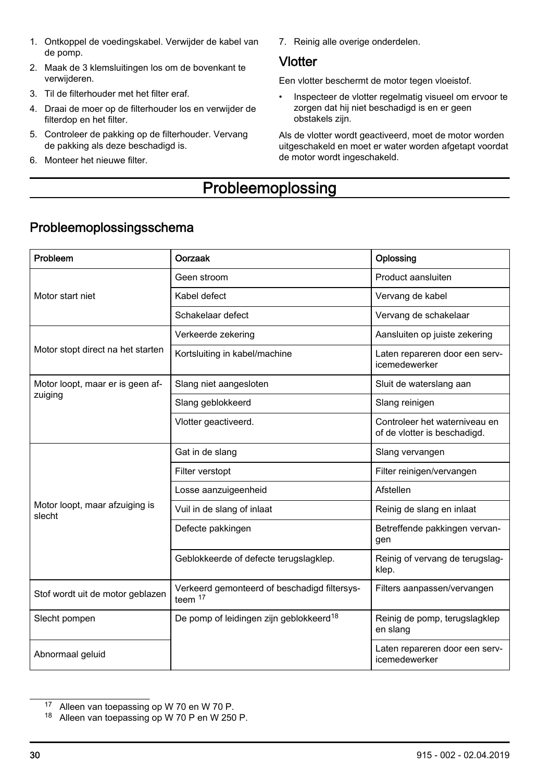- <span id="page-29-0"></span>1. Ontkoppel de voedingskabel. Verwijder de kabel van de pomp.
- 2. Maak de 3 klemsluitingen los om de bovenkant te verwijderen.
- 3. Til de filterhouder met het filter eraf.
- 4. Draai de moer op de filterhouder los en verwijder de filterdop en het filter.
- 5. Controleer de pakking op de filterhouder. Vervang de pakking als deze beschadigd is.
- 6. Monteer het nieuwe filter.

7. Reinig alle overige onderdelen.

#### **Vlotter**

Een vlotter beschermt de motor tegen vloeistof.

• Inspecteer de vlotter regelmatig visueel om ervoor te zorgen dat hij niet beschadigd is en er geen obstakels zijn.

Als de vlotter wordt geactiveerd, moet de motor worden uitgeschakeld en moet er water worden afgetapt voordat de motor wordt ingeschakeld.

# **Probleemoplossing**

| Probleem                                 | Oorzaak                                                 | Oplossing                                                     |
|------------------------------------------|---------------------------------------------------------|---------------------------------------------------------------|
|                                          | Geen stroom                                             | Product aansluiten                                            |
| Motor start niet                         | Kabel defect                                            | Vervang de kabel                                              |
|                                          | Schakelaar defect                                       | Vervang de schakelaar                                         |
|                                          | Verkeerde zekering                                      | Aansluiten op juiste zekering                                 |
| Motor stopt direct na het starten        | Kortsluiting in kabel/machine                           | Laten repareren door een serv-<br>icemedewerker               |
| Motor loopt, maar er is geen af-         | Slang niet aangesloten                                  | Sluit de waterslang aan                                       |
| zuiging                                  | Slang geblokkeerd                                       | Slang reinigen                                                |
|                                          | Vlotter geactiveerd.                                    | Controleer het waterniveau en<br>of de vlotter is beschadigd. |
|                                          | Gat in de slang                                         | Slang vervangen                                               |
|                                          | Filter verstopt                                         | Filter reinigen/vervangen                                     |
|                                          | Losse aanzuigeenheid                                    | Afstellen                                                     |
| Motor loopt, maar afzuiging is<br>slecht | Vuil in de slang of inlaat                              | Reinig de slang en inlaat                                     |
|                                          | Defecte pakkingen                                       | Betreffende pakkingen vervan-<br>gen                          |
|                                          | Geblokkeerde of defecte terugslagklep.                  | Reinig of vervang de terugslag-<br>klep.                      |
| Stof wordt uit de motor geblazen         | Verkeerd gemonteerd of beschadigd filtersys-<br>teem 17 | Filters aanpassen/vervangen                                   |
| Slecht pompen                            | De pomp of leidingen zijn geblokkeerd <sup>18</sup>     | Reinig de pomp, terugslagklep<br>en slang                     |
| Abnormaal geluid                         |                                                         | Laten repareren door een serv-<br>icemedewerker               |

## Probleemoplossingsschema

<sup>17</sup> Alleen van toepassing op W 70 en W 70 P.

<sup>18</sup> Alleen van toepassing op W 70 P en W 250 P.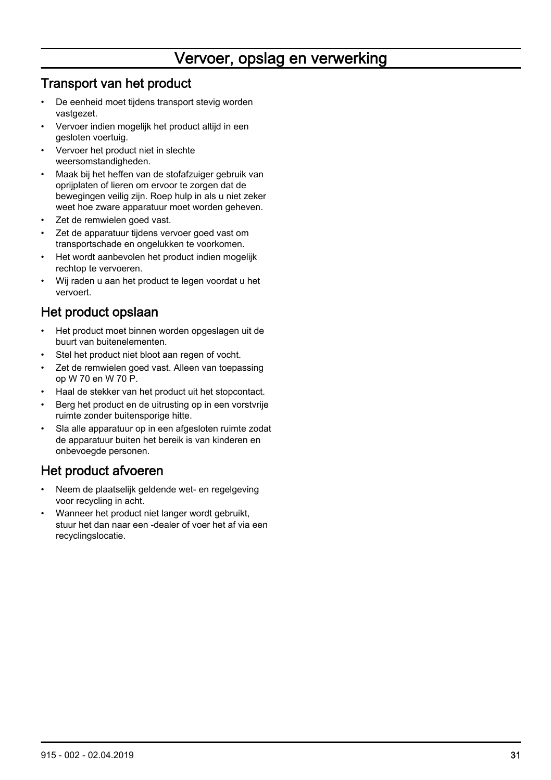# Vervoer, opslag en verwerking

#### <span id="page-30-0"></span>Transport van het product

- De eenheid moet tijdens transport stevig worden vastgezet.
- Vervoer indien mogelijk het product altijd in een gesloten voertuig.
- Vervoer het product niet in slechte weersomstandigheden.
- Maak bij het heffen van de stofafzuiger gebruik van oprijplaten of lieren om ervoor te zorgen dat de bewegingen veilig zijn. Roep hulp in als u niet zeker weet hoe zware apparatuur moet worden geheven.
- Zet de remwielen goed vast.
- Zet de apparatuur tijdens vervoer goed vast om transportschade en ongelukken te voorkomen.
- Het wordt aanbevolen het product indien mogelijk rechtop te vervoeren.
- Wij raden u aan het product te legen voordat u het vervoert.

## Het product opslaan

- Het product moet binnen worden opgeslagen uit de buurt van buitenelementen.
- Stel het product niet bloot aan regen of vocht.
- Zet de remwielen goed vast. Alleen van toepassing op W 70 en W 70 P.
- Haal de stekker van het product uit het stopcontact.
- Berg het product en de uitrusting op in een vorstvrije ruimte zonder buitensporige hitte.
- Sla alle apparatuur op in een afgesloten ruimte zodat de apparatuur buiten het bereik is van kinderen en onbevoegde personen.

# Het product afvoeren

- Neem de plaatselijk geldende wet- en regelgeving voor recycling in acht.
- Wanneer het product niet langer wordt gebruikt, stuur het dan naar een -dealer of voer het af via een recyclingslocatie.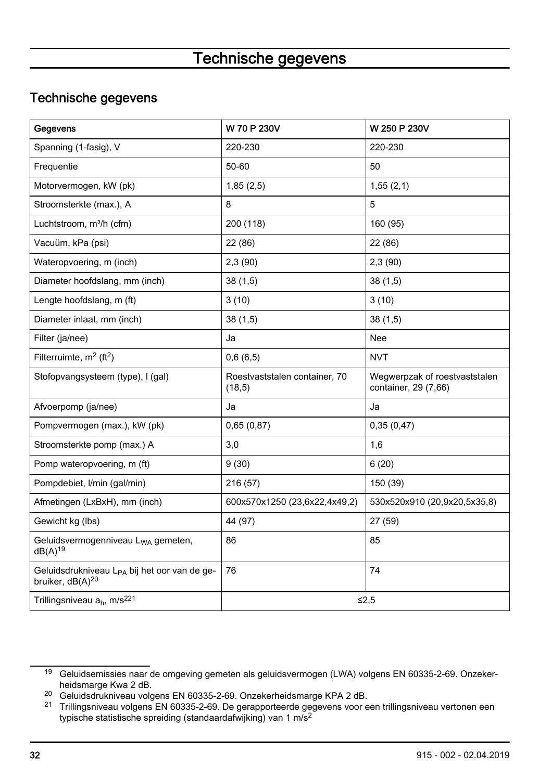# Technische gegevens

## <span id="page-31-0"></span>Technische gegevens

| Gegevens                                                                                 | W 70 P 230V                              | W 250 P 230V                                          |
|------------------------------------------------------------------------------------------|------------------------------------------|-------------------------------------------------------|
| Spanning (1-fasig), V                                                                    | 220-230                                  | 220-230                                               |
| Frequentie                                                                               | 50-60                                    | 50                                                    |
| Motorvermogen, kW (pk)                                                                   | 1,85(2,5)                                | 1,55(2,1)                                             |
| Stroomsterkte (max.), A                                                                  | 8                                        | 5                                                     |
| Luchtstroom, m <sup>3</sup> /h (cfm)                                                     | 200 (118)                                | 160 (95)                                              |
| Vacuüm, kPa (psi)                                                                        | 22 (86)                                  | 22 (86)                                               |
| Wateropvoering, m (inch)                                                                 | 2,3(90)                                  | 2,3(90)                                               |
| Diameter hoofdslang, mm (inch)                                                           | 38(1,5)                                  | 38(1,5)                                               |
| Lengte hoofdslang, m (ft)                                                                | 3(10)                                    | 3(10)                                                 |
| Diameter inlaat, mm (inch)                                                               | 38(1,5)                                  | 38(1,5)                                               |
| Filter (ja/nee)                                                                          | Ja                                       | Nee                                                   |
| Filterruimte, $m^2$ (ft <sup>2</sup> )                                                   | 0,6(6,5)                                 | <b>NVT</b>                                            |
| Stofopvangsysteem (type), I (gal)                                                        | Roestvaststalen container, 70<br>(18, 5) | Wegwerpzak of roestvaststalen<br>container, 29 (7,66) |
| Afvoerpomp (ja/nee)                                                                      | Ja                                       | Ja                                                    |
| Pompvermogen (max.), kW (pk)                                                             | 0,65(0,87)                               | 0,35(0,47)                                            |
| Stroomsterkte pomp (max.) A                                                              | 3,0                                      | 1,6                                                   |
| Pomp wateropvoering, m (ft)                                                              | 9(30)                                    | 6(20)                                                 |
| Pompdebiet, I/min (gal/min)                                                              | 216 (57)                                 | 150 (39)                                              |
| Afmetingen (LxBxH), mm (inch)                                                            | 600x570x1250 (23,6x22,4x49,2)            | 530x520x910 (20,9x20,5x35,8)                          |
| Gewicht kg (lbs)                                                                         | 44 (97)                                  | 27 (59)                                               |
| Geluidsvermogenniveau L <sub>WA</sub> gemeten,<br>$dB(A)^{19}$                           | 86                                       | 85                                                    |
| Geluidsdrukniveau L <sub>PA</sub> bij het oor van de ge-<br>bruiker, dB(A) <sup>20</sup> | 76                                       | 74                                                    |
| Trillingsniveau a <sub>h</sub> , m/s <sup>221</sup>                                      |                                          | ≤2,5                                                  |

<sup>19</sup> Geluidsemissies naar de omgeving gemeten als geluidsvermogen (LWA) volgens EN 60335-2-69. Onzekerheidsmarge Kwa 2 dB.

<sup>20</sup> Geluidsdrukniveau volgens EN 60335-2-69. Onzekerheidsmarge KPA 2 dB.

<sup>21</sup> Trillingsniveau volgens EN 60335-2-69. De gerapporteerde gegevens voor een trillingsniveau vertonen een typische statistische spreiding (standaardafwijking) van 1 m/s<sup>2</sup>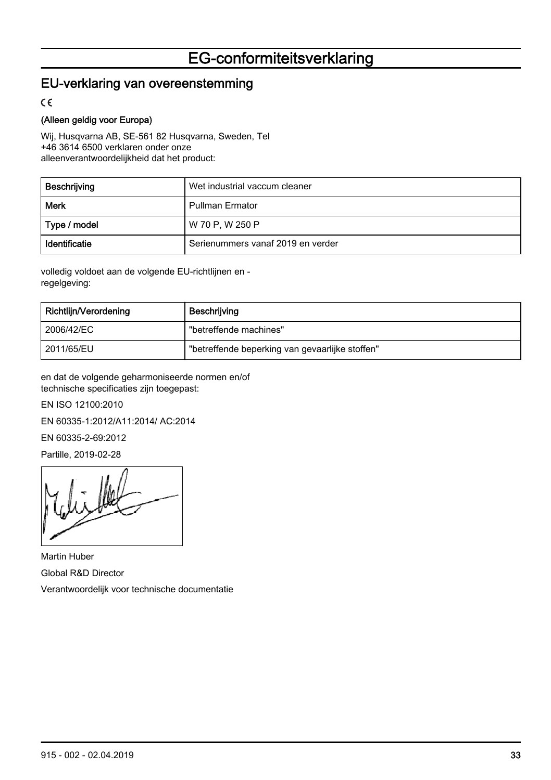# EG-conformiteitsverklaring

#### <span id="page-32-0"></span>EU-verklaring van overeenstemming

 $\epsilon$ 

#### (Alleen geldig voor Europa)

Wij, Husqvarna AB, SE-561 82 Husqvarna, Sweden, Tel +46 3614 6500 verklaren onder onze alleenverantwoordelijkheid dat het product:

| Beschrijving  | Wet industrial vaccum cleaner     |
|---------------|-----------------------------------|
| Merk          | <b>Pullman Ermator</b>            |
| Type / model  | W 70 P, W 250 P                   |
| Identificatie | Serienummers vanaf 2019 en verder |

volledig voldoet aan de volgende EU-richtlijnen en regelgeving:

| Richtlijn/Verordening | Beschrijving                                    |
|-----------------------|-------------------------------------------------|
| ' 2006/42/EC          | "betreffende machines"                          |
| 2011/65/EU            | "betreffende beperking van gevaarlijke stoffen" |

en dat de volgende geharmoniseerde normen en/of technische specificaties zijn toegepast:

EN ISO 12100:2010

EN 60335-1:2012/A11:2014/ AC:2014

EN 60335-2-69:2012

Partille, 2019-02-28

Martin Huber Global R&D Director Verantwoordelijk voor technische documentatie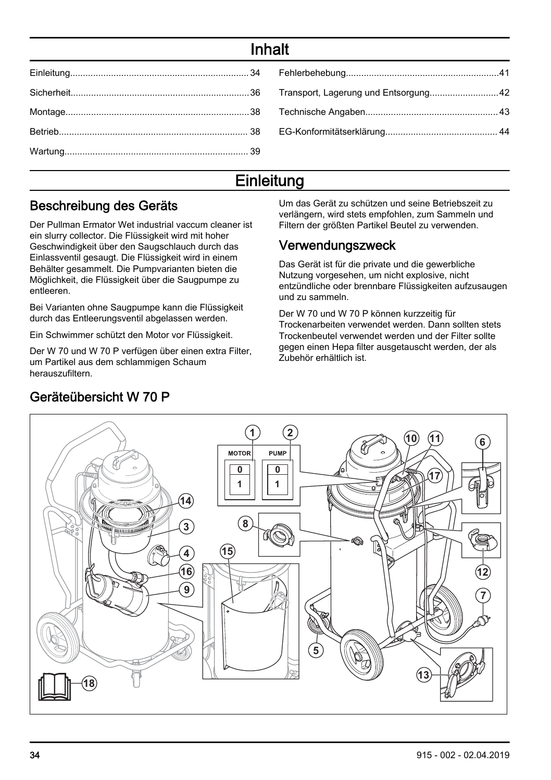# Inhalt

# **Einleitung**

#### Beschreibung des Geräts

Der Pullman Ermator Wet industrial vaccum cleaner ist ein slurry collector. Die Flüssigkeit wird mit hoher Geschwindigkeit über den Saugschlauch durch das Einlassventil gesaugt. Die Flüssigkeit wird in einem Behälter gesammelt. Die Pumpvarianten bieten die Möglichkeit, die Flüssigkeit über die Saugpumpe zu entleeren.

Bei Varianten ohne Saugpumpe kann die Flüssigkeit durch das Entleerungsventil abgelassen werden.

Ein Schwimmer schützt den Motor vor Flüssigkeit.

Der W 70 und W 70 P verfügen über einen extra Filter, um Partikel aus dem schlammigen Schaum herauszufiltern.

Um das Gerät zu schützen und seine Betriebszeit zu verlängern, wird stets empfohlen, zum Sammeln und Filtern der größten Partikel Beutel zu verwenden.

## Verwendungszweck

Das Gerät ist für die private und die gewerbliche Nutzung vorgesehen, um nicht explosive, nicht entzündliche oder brennbare Flüssigkeiten aufzusaugen und zu sammeln.

Der W 70 und W 70 P können kurzzeitig für Trockenarbeiten verwendet werden. Dann sollten stets Trockenbeutel verwendet werden und der Filter sollte gegen einen Hepa filter ausgetauscht werden, der als Zubehör erhältlich ist.



# Geräteübersicht W 70 P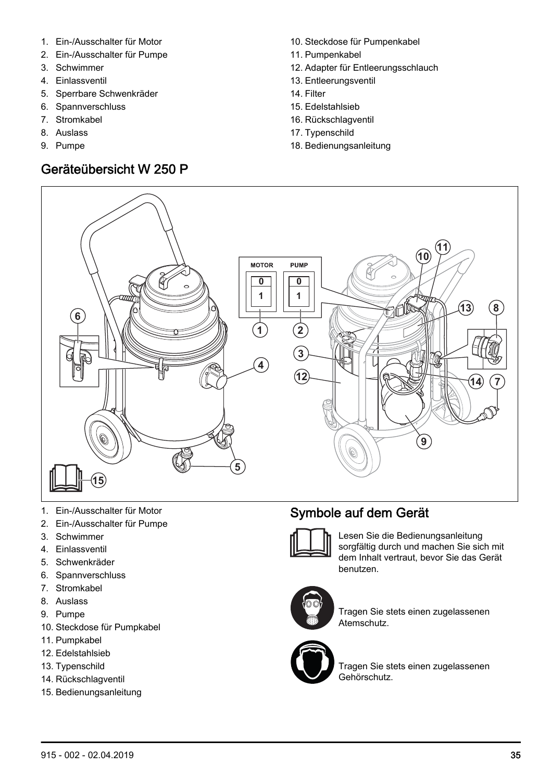- 1. Ein-/Ausschalter für Motor
- 2. Ein-/Ausschalter für Pumpe
- 3. Schwimmer
- 4. Einlassventil
- 5. Sperrbare Schwenkräder
- 6. Spannverschluss
- 7. Stromkabel
- 8. Auslass
- 9. Pumpe

# Geräteübersicht W 250 P

- 10. Steckdose für Pumpenkabel
- 11. Pumpenkabel
- 12. Adapter für Entleerungsschlauch
- 13. Entleerungsventil
- 14. Filter
- 15. Edelstahlsieb
- 16. Rückschlagventil
- 17. Typenschild
- 18. Bedienungsanleitung



- 1. Ein-/Ausschalter für Motor
- 2. Ein-/Ausschalter für Pumpe
- 3. Schwimmer
- 4. Einlassventil
- 5. Schwenkräder
- 6. Spannverschluss
- 7. Stromkabel
- 8. Auslass
- 9. Pumpe
- 10. Steckdose für Pumpkabel
- 11. Pumpkabel
- 12. Edelstahlsieb
- 13. Typenschild
- 14. Rückschlagventil
- 15. Bedienungsanleitung

# Symbole auf dem Gerät



Lesen Sie die Bedienungsanleitung sorgfältig durch und machen Sie sich mit dem Inhalt vertraut, bevor Sie das Gerät benutzen.



Tragen Sie stets einen zugelassenen Atemschutz.



Tragen Sie stets einen zugelassenen Gehörschutz.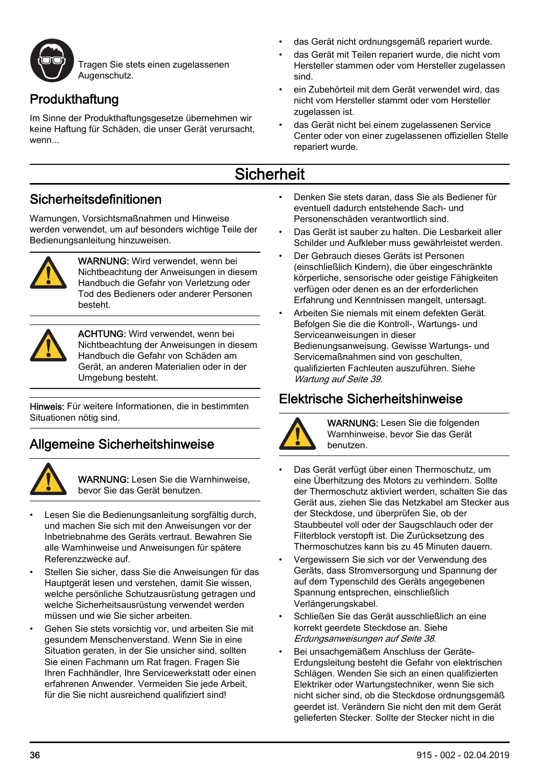<span id="page-35-0"></span>

Tragen Sie stets einen zugelassenen Augenschutz.

# Produkthaftung

Im Sinne der Produkthaftungsgesetze übernehmen wir keine Haftung für Schäden, die unser Gerät verursacht, wenn

- das Gerät nicht ordnungsgemäß repariert wurde.
- das Gerät mit Teilen repariert wurde, die nicht vom Hersteller stammen oder vom Hersteller zugelassen sind.
- ein Zubehörteil mit dem Gerät verwendet wird, das nicht vom Hersteller stammt oder vom Hersteller zugelassen ist.
- das Gerät nicht bei einem zugelassenen Service Center oder von einer zugelassenen offiziellen Stelle repariert wurde.

# **Sicherheit**

#### Sicherheitsdefinitionen

Warnungen, Vorsichtsmaßnahmen und Hinweise werden verwendet, um auf besonders wichtige Teile der Bedienungsanleitung hinzuweisen.



WARNUNG: Wird verwendet, wenn bei Nichtbeachtung der Anweisungen in diesem Handbuch die Gefahr von Verletzung oder Tod des Bedieners oder anderer Personen besteht.



ACHTUNG: Wird verwendet, wenn bei Nichtbeachtung der Anweisungen in diesem Handbuch die Gefahr von Schäden am Gerät, an anderen Materialien oder in der Umgebung besteht.

Hinweis: Für weitere Informationen, die in bestimmten Situationen nötig sind.

## Allgemeine Sicherheitshinweise



WARNUNG: Lesen Sie die Warnhinweise, bevor Sie das Gerät benutzen.

- Lesen Sie die Bedienungsanleitung sorgfältig durch, und machen Sie sich mit den Anweisungen vor der Inbetriebnahme des Geräts vertraut. Bewahren Sie alle Warnhinweise und Anweisungen für spätere Referenzzwecke auf.
- Stellen Sie sicher, dass Sie die Anweisungen für das Hauptgerät lesen und verstehen, damit Sie wissen, welche persönliche Schutzausrüstung getragen und welche Sicherheitsausrüstung verwendet werden müssen und wie Sie sicher arbeiten.
- Gehen Sie stets vorsichtig vor, und arbeiten Sie mit gesundem Menschenverstand. Wenn Sie in eine Situation geraten, in der Sie unsicher sind, sollten Sie einen Fachmann um Rat fragen. Fragen Sie Ihren Fachhändler, Ihre Servicewerkstatt oder einen erfahrenen Anwender. Vermeiden Sie jede Arbeit, für die Sie nicht ausreichend qualifiziert sind!
- Denken Sie stets daran, dass Sie als Bediener für eventuell dadurch entstehende Sach- und Personenschäden verantwortlich sind.
- Das Gerät ist sauber zu halten. Die Lesbarkeit aller Schilder und Aufkleber muss gewährleistet werden.
- Der Gebrauch dieses Geräts ist Personen (einschließlich Kindern), die über eingeschränkte körperliche, sensorische oder geistige Fähigkeiten verfügen oder denen es an der erforderlichen Erfahrung und Kenntnissen mangelt, untersagt.
- Arbeiten Sie niemals mit einem defekten Gerät. Befolgen Sie die die Kontroll-, Wartungs- und Serviceanweisungen in dieser Bedienungsanweisung. Gewisse Wartungs- und Servicemaßnahmen sind von geschulten, qualifizierten Fachleuten auszuführen. Siehe [Wartung](#page-38-0) auf Seite 39.

## Elektrische Sicherheitshinweise



WARNUNG: Lesen Sie die folgenden Warnhinweise, bevor Sie das Gerät benutzen.

- Das Gerät verfügt über einen Thermoschutz, um eine Überhitzung des Motors zu verhindern. Sollte der Thermoschutz aktiviert werden, schalten Sie das Gerät aus, ziehen Sie das Netzkabel am Stecker aus der Steckdose, und überprüfen Sie, ob der Staubbeutel voll oder der Saugschlauch oder der Filterblock verstopft ist. Die Zurücksetzung des Thermoschutzes kann bis zu 45 Minuten dauern.
- Vergewissern Sie sich vor der Verwendung des Geräts, dass Stromversorgung und Spannung der auf dem Typenschild des Geräts angegebenen Spannung entsprechen, einschließlich Verlängerungskabel.
- Schließen Sie das Gerät ausschließlich an eine korrekt geerdete Steckdose an. Siehe [Erdungsanweisungen](#page-37-0) auf Seite 38.
- Bei unsachgemäßem Anschluss der Geräte-Erdungsleitung besteht die Gefahr von elektrischen Schlägen. Wenden Sie sich an einen qualifizierten Elektriker oder Wartungstechniker, wenn Sie sich nicht sicher sind, ob die Steckdose ordnungsgemäß geerdet ist. Verändern Sie nicht den mit dem Gerät gelieferten Stecker. Sollte der Stecker nicht in die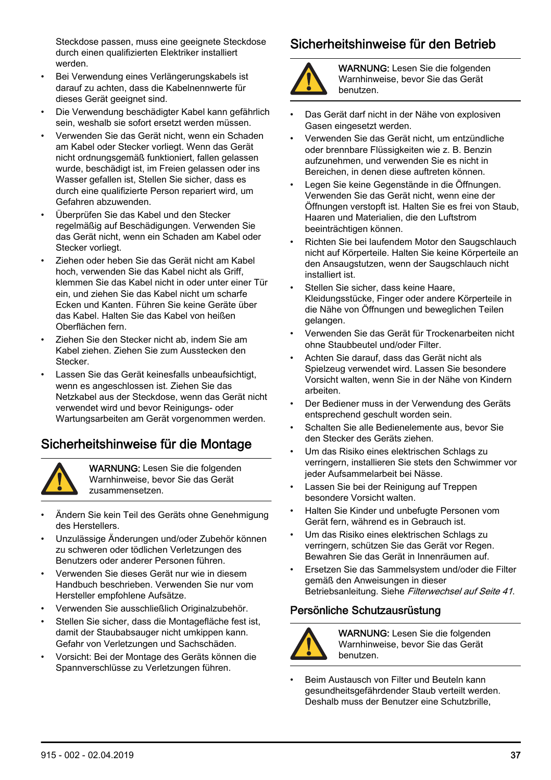<span id="page-36-0"></span>Steckdose passen, muss eine geeignete Steckdose durch einen qualifizierten Elektriker installiert werden.

- Bei Verwendung eines Verlängerungskabels ist darauf zu achten, dass die Kabelnennwerte für dieses Gerät geeignet sind.
- Die Verwendung beschädigter Kabel kann gefährlich sein, weshalb sie sofort ersetzt werden müssen.
- Verwenden Sie das Gerät nicht, wenn ein Schaden am Kabel oder Stecker vorliegt. Wenn das Gerät nicht ordnungsgemäß funktioniert, fallen gelassen wurde, beschädigt ist, im Freien gelassen oder ins Wasser gefallen ist, Stellen Sie sicher, dass es durch eine qualifizierte Person repariert wird, um Gefahren abzuwenden.
- Überprüfen Sie das Kabel und den Stecker regelmäßig auf Beschädigungen. Verwenden Sie das Gerät nicht, wenn ein Schaden am Kabel oder Stecker vorliegt.
- Ziehen oder heben Sie das Gerät nicht am Kabel hoch, verwenden Sie das Kabel nicht als Griff, klemmen Sie das Kabel nicht in oder unter einer Tür ein, und ziehen Sie das Kabel nicht um scharfe Ecken und Kanten. Führen Sie keine Geräte über das Kabel. Halten Sie das Kabel von heißen Oberflächen fern.
- Ziehen Sie den Stecker nicht ab, indem Sie am Kabel ziehen. Ziehen Sie zum Ausstecken den Stecker.
- Lassen Sie das Gerät keinesfalls unbeaufsichtigt, wenn es angeschlossen ist. Ziehen Sie das Netzkabel aus der Steckdose, wenn das Gerät nicht verwendet wird und bevor Reinigungs- oder Wartungsarbeiten am Gerät vorgenommen werden.

## Sicherheitshinweise für die Montage



WARNUNG: Lesen Sie die folgenden Warnhinweise, bevor Sie das Gerät zusammensetzen.

- Ändern Sie kein Teil des Geräts ohne Genehmigung des Herstellers.
- Unzulässige Änderungen und/oder Zubehör können zu schweren oder tödlichen Verletzungen des Benutzers oder anderer Personen führen.
- Verwenden Sie dieses Gerät nur wie in diesem Handbuch beschrieben. Verwenden Sie nur vom Hersteller empfohlene Aufsätze.
- Verwenden Sie ausschließlich Originalzubehör.
- Stellen Sie sicher, dass die Montagefläche fest ist, damit der Staubabsauger nicht umkippen kann. Gefahr von Verletzungen und Sachschäden.
- Vorsicht: Bei der Montage des Geräts können die Spannverschlüsse zu Verletzungen führen.

#### Sicherheitshinweise für den Betrieb



WARNUNG: Lesen Sie die folgenden Warnhinweise, bevor Sie das Gerät benutzen.

- Das Gerät darf nicht in der Nähe von explosiven Gasen eingesetzt werden.
- Verwenden Sie das Gerät nicht, um entzündliche oder brennbare Flüssigkeiten wie z. B. Benzin aufzunehmen, und verwenden Sie es nicht in Bereichen, in denen diese auftreten können.
- Legen Sie keine Gegenstände in die Öffnungen. Verwenden Sie das Gerät nicht, wenn eine der Öffnungen verstopft ist. Halten Sie es frei von Staub, Haaren und Materialien, die den Luftstrom beeinträchtigen können.
- Richten Sie bei laufendem Motor den Saugschlauch nicht auf Körperteile. Halten Sie keine Körperteile an den Ansaugstutzen, wenn der Saugschlauch nicht installiert ist.
- Stellen Sie sicher, dass keine Haare, Kleidungsstücke, Finger oder andere Körperteile in die Nähe von Öffnungen und beweglichen Teilen gelangen.
- Verwenden Sie das Gerät für Trockenarbeiten nicht ohne Staubbeutel und/oder Filter.
- Achten Sie darauf, dass das Gerät nicht als Spielzeug verwendet wird. Lassen Sie besondere Vorsicht walten, wenn Sie in der Nähe von Kindern arbeiten.
- Der Bediener muss in der Verwendung des Geräts entsprechend geschult worden sein.
- Schalten Sie alle Bedienelemente aus, bevor Sie den Stecker des Geräts ziehen.
- Um das Risiko eines elektrischen Schlags zu verringern, installieren Sie stets den Schwimmer vor jeder Aufsammelarbeit bei Nässe.
- Lassen Sie bei der Reinigung auf Treppen besondere Vorsicht walten.
- Halten Sie Kinder und unbefugte Personen vom Gerät fern, während es in Gebrauch ist.
- Um das Risiko eines elektrischen Schlags zu verringern, schützen Sie das Gerät vor Regen. Bewahren Sie das Gerät in Innenräumen auf.
- Ersetzen Sie das Sammelsystem und/oder die Filter gemäß den Anweisungen in dieser Betriebsanleitung. Siehe [Filterwechsel](#page-40-0) auf Seite 41.

#### Persönliche Schutzausrüstung



WARNUNG: Lesen Sie die folgenden Warnhinweise, bevor Sie das Gerät benutzen.

• Beim Austausch von Filter und Beuteln kann gesundheitsgefährdender Staub verteilt werden. Deshalb muss der Benutzer eine Schutzbrille,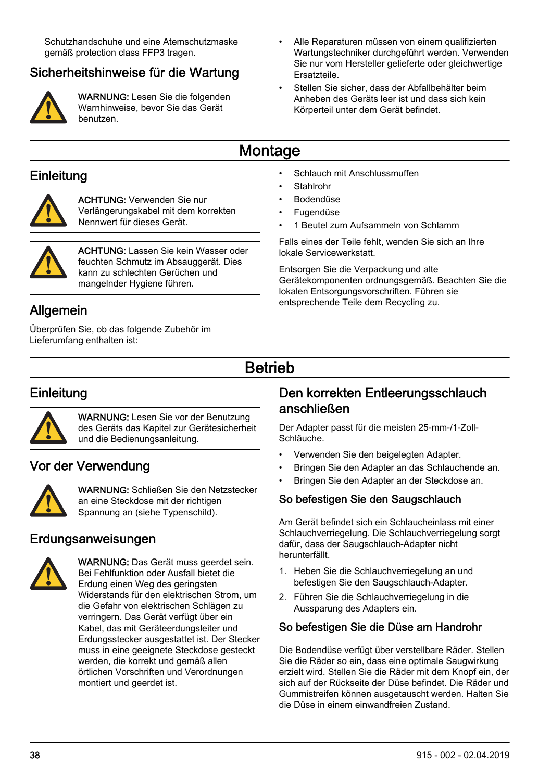<span id="page-37-0"></span>Schutzhandschuhe und eine Atemschutzmaske gemäß protection class FFP3 tragen.

# Sicherheitshinweise für die Wartung



WARNUNG: Lesen Sie die folgenden Warnhinweise, bevor Sie das Gerät benutzen.

- Alle Reparaturen müssen von einem qualifizierten Wartungstechniker durchgeführt werden. Verwenden Sie nur vom Hersteller gelieferte oder gleichwertige Ersatzteile.
- Stellen Sie sicher, dass der Abfallbehälter beim Anheben des Geräts leer ist und dass sich kein Körperteil unter dem Gerät befindet.

# Montage

#### **Einleitung**



ACHTUNG: Verwenden Sie nur Verlängerungskabel mit dem korrekten Nennwert für dieses Gerät.



ACHTUNG: Lassen Sie kein Wasser oder feuchten Schmutz im Absauggerät. Dies kann zu schlechten Gerüchen und mangelnder Hygiene führen.

## Allgemein

Überprüfen Sie, ob das folgende Zubehör im Lieferumfang enthalten ist:

- Schlauch mit Anschlussmuffen
- Stahlrohr
- Bodendüse
- Fugendüse
- 1 Beutel zum Aufsammeln von Schlamm

Falls eines der Teile fehlt, wenden Sie sich an Ihre lokale Servicewerkstatt.

Entsorgen Sie die Verpackung und alte Gerätekomponenten ordnungsgemäß. Beachten Sie die lokalen Entsorgungsvorschriften. Führen sie entsprechende Teile dem Recycling zu.

# Betrieb

# **Einleitung**



WARNUNG: Lesen Sie vor der Benutzung des Geräts das Kapitel zur Gerätesicherheit und die Bedienungsanleitung.

## Vor der Verwendung



WARNUNG: Schließen Sie den Netzstecker an eine Steckdose mit der richtigen Spannung an (siehe Typenschild).

#### Erdungsanweisungen



WARNUNG: Das Gerät muss geerdet sein. Bei Fehlfunktion oder Ausfall bietet die Erdung einen Weg des geringsten Widerstands für den elektrischen Strom, um die Gefahr von elektrischen Schlägen zu verringern. Das Gerät verfügt über ein Kabel, das mit Geräteerdungsleiter und Erdungsstecker ausgestattet ist. Der Stecker muss in eine geeignete Steckdose gesteckt werden, die korrekt und gemäß allen örtlichen Vorschriften und Verordnungen montiert und geerdet ist.

#### Den korrekten Entleerungsschlauch anschließen

Der Adapter passt für die meisten 25-mm-/1-Zoll-Schläuche.

- Verwenden Sie den beigelegten Adapter.
- Bringen Sie den Adapter an das Schlauchende an.
- Bringen Sie den Adapter an der Steckdose an.

#### So befestigen Sie den Saugschlauch

Am Gerät befindet sich ein Schlaucheinlass mit einer Schlauchverriegelung. Die Schlauchverriegelung sorgt dafür, dass der Saugschlauch-Adapter nicht herunterfällt.

- 1. Heben Sie die Schlauchverriegelung an und befestigen Sie den Saugschlauch-Adapter.
- 2. Führen Sie die Schlauchverriegelung in die Aussparung des Adapters ein.

#### So befestigen Sie die Düse am Handrohr

Die Bodendüse verfügt über verstellbare Räder. Stellen Sie die Räder so ein, dass eine optimale Saugwirkung erzielt wird. Stellen Sie die Räder mit dem Knopf ein, der sich auf der Rückseite der Düse befindet. Die Räder und Gummistreifen können ausgetauscht werden. Halten Sie die Düse in einem einwandfreien Zustand.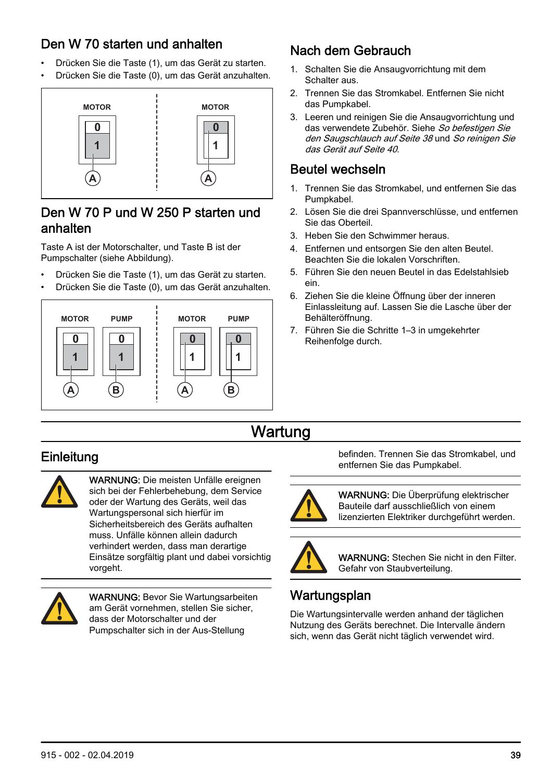## <span id="page-38-0"></span>Den W 70 starten und anhalten

- Drücken Sie die Taste (1), um das Gerät zu starten.
- Drücken Sie die Taste (0), um das Gerät anzuhalten.



#### Den W 70 P und W 250 P starten und anhalten

Taste A ist der Motorschalter, und Taste B ist der Pumpschalter (siehe Abbildung).

- Drücken Sie die Taste (1), um das Gerät zu starten.
- Drücken Sie die Taste (0), um das Gerät anzuhalten.



# Nach dem Gebrauch

- 1. Schalten Sie die Ansaugvorrichtung mit dem Schalter aus.
- 2. Trennen Sie das Stromkabel. Entfernen Sie nicht das Pumpkabel.
- 3. Leeren und reinigen Sie die Ansaugvorrichtung und das verwendete Zubehör. Siehe [So befestigen Sie](#page-37-0) [den Saugschlauch](#page-37-0) auf Seite 38 und [So reinigen Sie](#page-39-0) [das Gerät](#page-39-0) auf Seite 40.

#### Beutel wechseln

- 1. Trennen Sie das Stromkabel, und entfernen Sie das Pumpkabel.
- 2. Lösen Sie die drei Spannverschlüsse, und entfernen Sie das Oberteil.
- 3. Heben Sie den Schwimmer heraus.
- 4. Entfernen und entsorgen Sie den alten Beutel. Beachten Sie die lokalen Vorschriften.
- 5. Führen Sie den neuen Beutel in das Edelstahlsieb ein.
- 6. Ziehen Sie die kleine Öffnung über der inneren Einlassleitung auf. Lassen Sie die Lasche über der Behälteröffnung.
- 7. Führen Sie die Schritte 1–3 in umgekehrter Reihenfolge durch.

# Wartung

# **Einleitung**



WARNUNG: Die meisten Unfälle ereignen sich bei der Fehlerbehebung, dem Service oder der Wartung des Geräts, weil das Wartungspersonal sich hierfür im Sicherheitsbereich des Geräts aufhalten muss. Unfälle können allein dadurch verhindert werden, dass man derartige Einsätze sorgfältig plant und dabei vorsichtig vorgeht.



WARNUNG: Bevor Sie Wartungsarbeiten am Gerät vornehmen, stellen Sie sicher dass der Motorschalter und der Pumpschalter sich in der Aus-Stellung

befinden. Trennen Sie das Stromkabel, und entfernen Sie das Pumpkabel.



WARNUNG: Die Überprüfung elektrischer Bauteile darf ausschließlich von einem lizenzierten Elektriker durchgeführt werden.



WARNUNG: Stechen Sie nicht in den Filter. Gefahr von Staubverteilung.

# **Wartungsplan**

Die Wartungsintervalle werden anhand der täglichen Nutzung des Geräts berechnet. Die Intervalle ändern sich, wenn das Gerät nicht täglich verwendet wird.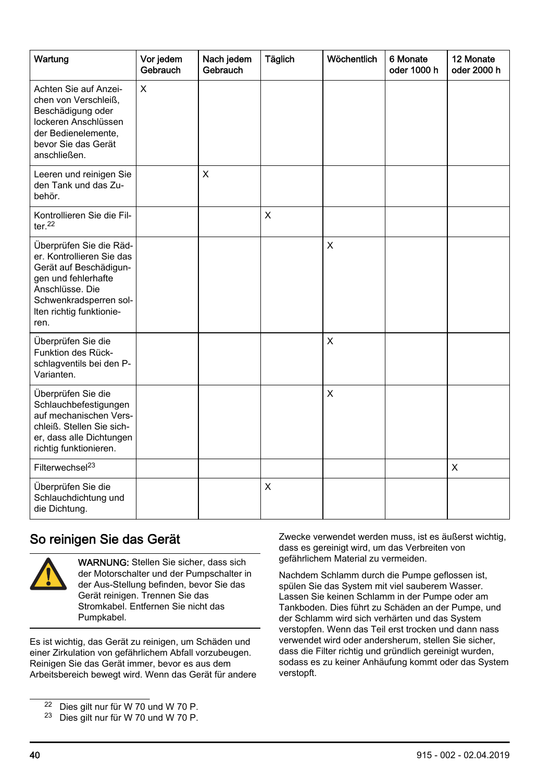<span id="page-39-0"></span>

| Wartung                                                                                                                                                                                | Vor jedem<br>Gebrauch | Nach jedem<br>Gebrauch | Täglich | Wöchentlich | 6 Monate<br>oder 1000 h | 12 Monate<br>oder 2000 h |
|----------------------------------------------------------------------------------------------------------------------------------------------------------------------------------------|-----------------------|------------------------|---------|-------------|-------------------------|--------------------------|
| Achten Sie auf Anzei-<br>chen von Verschleiß,<br>Beschädigung oder<br>lockeren Anschlüssen<br>der Bedienelemente.<br>bevor Sie das Gerät<br>anschließen.                               | X                     |                        |         |             |                         |                          |
| Leeren und reinigen Sie<br>den Tank und das Zu-<br>behör.                                                                                                                              |                       | X                      |         |             |                         |                          |
| Kontrollieren Sie die Fil-<br>ter $22$                                                                                                                                                 |                       |                        | X       |             |                         |                          |
| Überprüfen Sie die Räd-<br>er. Kontrollieren Sie das<br>Gerät auf Beschädigun-<br>gen und fehlerhafte<br>Anschlüsse, Die<br>Schwenkradsperren sol-<br>Iten richtig funktionie-<br>ren. |                       |                        |         | X           |                         |                          |
| Überprüfen Sie die<br>Funktion des Rück-<br>schlagventils bei den P-<br>Varianten.                                                                                                     |                       |                        |         | X           |                         |                          |
| Überprüfen Sie die<br>Schlauchbefestigungen<br>auf mechanischen Vers-<br>chleiß. Stellen Sie sich-<br>er, dass alle Dichtungen<br>richtig funktionieren.                               |                       |                        |         | X           |                         |                          |
| Filterwechsel <sup>23</sup>                                                                                                                                                            |                       |                        |         |             |                         | X                        |
| Überprüfen Sie die<br>Schlauchdichtung und<br>die Dichtung.                                                                                                                            |                       |                        | X       |             |                         |                          |

## So reinigen Sie das Gerät



WARNUNG: Stellen Sie sicher, dass sich der Motorschalter und der Pumpschalter in der Aus-Stellung befinden, bevor Sie das Gerät reinigen. Trennen Sie das Stromkabel. Entfernen Sie nicht das Pumpkabel.

Es ist wichtig, das Gerät zu reinigen, um Schäden und einer Zirkulation von gefährlichem Abfall vorzubeugen. Reinigen Sie das Gerät immer, bevor es aus dem Arbeitsbereich bewegt wird. Wenn das Gerät für andere Zwecke verwendet werden muss, ist es äußerst wichtig, dass es gereinigt wird, um das Verbreiten von gefährlichem Material zu vermeiden.

Nachdem Schlamm durch die Pumpe geflossen ist, spülen Sie das System mit viel sauberem Wasser. Lassen Sie keinen Schlamm in der Pumpe oder am Tankboden. Dies führt zu Schäden an der Pumpe, und der Schlamm wird sich verhärten und das System verstopfen. Wenn das Teil erst trocken und dann nass verwendet wird oder andersherum, stellen Sie sicher, dass die Filter richtig und gründlich gereinigt wurden, sodass es zu keiner Anhäufung kommt oder das System verstopft.

<sup>22</sup> Dies gilt nur für W 70 und W 70 P.

<sup>23</sup> Dies gilt nur für W 70 und W 70 P.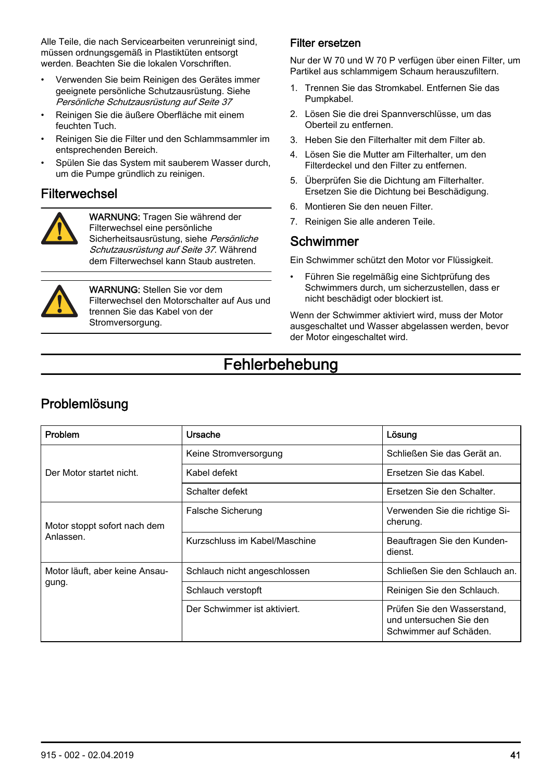<span id="page-40-0"></span>Alle Teile, die nach Servicearbeiten verunreinigt sind, müssen ordnungsgemäß in Plastiktüten entsorgt werden. Beachten Sie die lokalen Vorschriften.

- Verwenden Sie beim Reinigen des Gerätes immer geeignete persönliche Schutzausrüstung. Siehe [Persönliche Schutzausrüstung](#page-36-0) auf Seite 37
- Reinigen Sie die äußere Oberfläche mit einem feuchten Tuch.
- Reinigen Sie die Filter und den Schlammsammler im entsprechenden Bereich.
- Spülen Sie das System mit sauberem Wasser durch, um die Pumpe gründlich zu reinigen.

#### Filterwechsel



WARNUNG: Tragen Sie während der Filterwechsel eine persönliche Sicherheitsausrüstung, siehe [Persönliche](#page-36-0) [Schutzausrüstung](#page-36-0) auf Seite 37. Während dem Filterwechsel kann Staub austreten.



WARNUNG: Stellen Sie vor dem Filterwechsel den Motorschalter auf Aus und trennen Sie das Kabel von der Stromversorgung.

#### Filter ersetzen

Nur der W 70 und W 70 P verfügen über einen Filter, um Partikel aus schlammigem Schaum herauszufiltern.

- 1. Trennen Sie das Stromkabel. Entfernen Sie das Pumpkabel.
- 2. Lösen Sie die drei Spannverschlüsse, um das Oberteil zu entfernen.
- 3. Heben Sie den Filterhalter mit dem Filter ab.
- 4. Lösen Sie die Mutter am Filterhalter, um den Filterdeckel und den Filter zu entfernen.
- 5. Überprüfen Sie die Dichtung am Filterhalter. Ersetzen Sie die Dichtung bei Beschädigung.
- 6. Montieren Sie den neuen Filter.
- 7. Reinigen Sie alle anderen Teile.

#### Schwimmer

Ein Schwimmer schützt den Motor vor Flüssigkeit.

• Führen Sie regelmäßig eine Sichtprüfung des Schwimmers durch, um sicherzustellen, dass er nicht beschädigt oder blockiert ist.

Wenn der Schwimmer aktiviert wird, muss der Motor ausgeschaltet und Wasser abgelassen werden, bevor der Motor eingeschaltet wird.

# Fehlerbehebung

#### Problemlösung

| Problem                                   | Ursache                       | Lösung                                                                           |
|-------------------------------------------|-------------------------------|----------------------------------------------------------------------------------|
| Der Motor startet nicht.                  | Keine Stromversorgung         | Schließen Sie das Gerät an.                                                      |
|                                           | Kabel defekt                  | Ersetzen Sie das Kabel.                                                          |
|                                           | Schalter defekt               | Ersetzen Sie den Schalter.                                                       |
| Motor stoppt sofort nach dem<br>Anlassen. | Falsche Sicherung             | Verwenden Sie die richtige Si-<br>cherung.                                       |
|                                           | Kurzschluss im Kabel/Maschine | Beauftragen Sie den Kunden-<br>dienst.                                           |
| Motor läuft, aber keine Ansau-<br>gung.   | Schlauch nicht angeschlossen  | Schließen Sie den Schlauch an.                                                   |
|                                           | Schlauch verstopft            | Reinigen Sie den Schlauch.                                                       |
|                                           | Der Schwimmer ist aktiviert.  | Prüfen Sie den Wasserstand,<br>und untersuchen Sie den<br>Schwimmer auf Schäden. |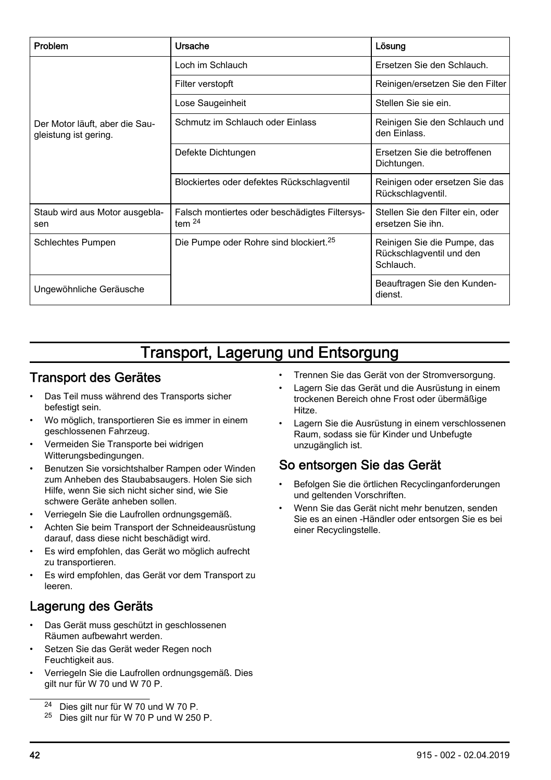<span id="page-41-0"></span>

| Problem                                                 | Ursache                                                       | Lösung                                                               |
|---------------------------------------------------------|---------------------------------------------------------------|----------------------------------------------------------------------|
| Der Motor läuft, aber die Sau-<br>gleistung ist gering. | Loch im Schlauch                                              | Ersetzen Sie den Schlauch.                                           |
|                                                         | Filter verstopft                                              | Reinigen/ersetzen Sie den Filter                                     |
|                                                         | Lose Saugeinheit                                              | Stellen Sie sie ein.                                                 |
|                                                         | Schmutz im Schlauch oder Einlass                              | Reinigen Sie den Schlauch und<br>den Einlass.                        |
|                                                         | Defekte Dichtungen                                            | Ersetzen Sie die betroffenen<br>Dichtungen.                          |
|                                                         | Blockiertes oder defektes Rückschlagventil                    | Reinigen oder ersetzen Sie das<br>Rückschlagventil.                  |
| Staub wird aus Motor ausgebla-<br>sen                   | Falsch montiertes oder beschädigtes Filtersys-<br>tem $^{24}$ | Stellen Sie den Filter ein, oder<br>ersetzen Sie ihn.                |
| Schlechtes Pumpen                                       | Die Pumpe oder Rohre sind blockiert. <sup>25</sup>            | Reinigen Sie die Pumpe, das<br>Rückschlagventil und den<br>Schlauch. |
| Ungewöhnliche Geräusche                                 |                                                               | Beauftragen Sie den Kunden-<br>dienst.                               |

# Transport, Lagerung und Entsorgung

#### Transport des Gerätes

- Das Teil muss während des Transports sicher befestigt sein.
- Wo möglich, transportieren Sie es immer in einem geschlossenen Fahrzeug.
- Vermeiden Sie Transporte bei widrigen Witterungsbedingungen.
- Benutzen Sie vorsichtshalber Rampen oder Winden zum Anheben des Staubabsaugers. Holen Sie sich Hilfe, wenn Sie sich nicht sicher sind, wie Sie schwere Geräte anheben sollen.
- Verriegeln Sie die Laufrollen ordnungsgemäß.
- Achten Sie beim Transport der Schneideausrüstung darauf, dass diese nicht beschädigt wird.
- Es wird empfohlen, das Gerät wo möglich aufrecht zu transportieren.
- Es wird empfohlen, das Gerät vor dem Transport zu leeren.

# Lagerung des Geräts

- Das Gerät muss geschützt in geschlossenen Räumen aufbewahrt werden.
- Setzen Sie das Gerät weder Regen noch Feuchtigkeit aus.
- Verriegeln Sie die Laufrollen ordnungsgemäß. Dies gilt nur für W 70 und W 70 P.

<sup>25</sup> Dies gilt nur für W 70 P und W 250 P.

- Trennen Sie das Gerät von der Stromversorgung.
- Lagern Sie das Gerät und die Ausrüstung in einem trockenen Bereich ohne Frost oder übermäßige Hitze.
- Lagern Sie die Ausrüstung in einem verschlossenen Raum, sodass sie für Kinder und Unbefugte unzugänglich ist.

# So entsorgen Sie das Gerät

- Befolgen Sie die örtlichen Recyclinganforderungen und geltenden Vorschriften.
- Wenn Sie das Gerät nicht mehr benutzen, senden Sie es an einen -Händler oder entsorgen Sie es bei einer Recyclingstelle.

<sup>24</sup> Dies gilt nur für W 70 und W 70 P.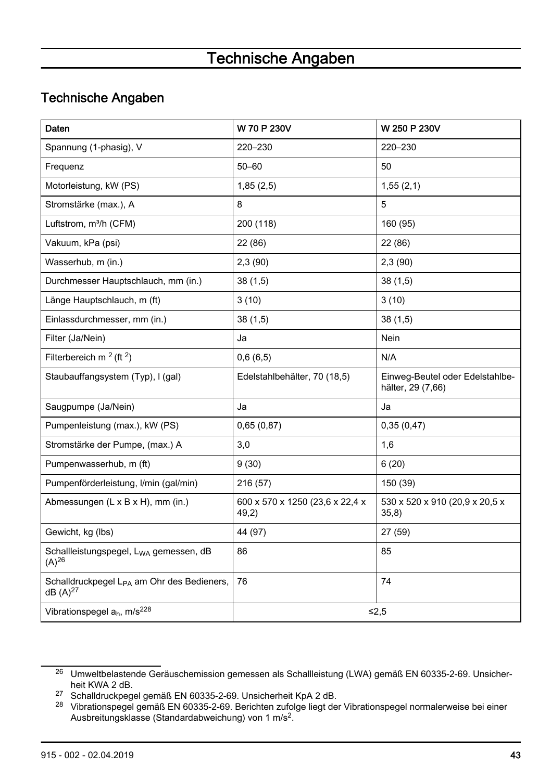# Technische Angaben

## <span id="page-42-0"></span>Technische Angaben

| Daten                                                                         | W 70 P 230V                              | W 250 P 230V                                         |
|-------------------------------------------------------------------------------|------------------------------------------|------------------------------------------------------|
| Spannung (1-phasig), V                                                        | 220-230                                  | 220-230                                              |
| Frequenz                                                                      | $50 - 60$                                | 50                                                   |
| Motorleistung, kW (PS)                                                        | 1,85(2,5)                                | 1,55(2,1)                                            |
| Stromstärke (max.), A                                                         | 8                                        | 5                                                    |
| Luftstrom, m <sup>3</sup> /h (CFM)                                            | 200 (118)                                | 160 (95)                                             |
| Vakuum, kPa (psi)                                                             | 22 (86)                                  | 22 (86)                                              |
| Wasserhub, m (in.)                                                            | 2,3(90)                                  | 2,3(90)                                              |
| Durchmesser Hauptschlauch, mm (in.)                                           | 38(1,5)                                  | 38(1,5)                                              |
| Länge Hauptschlauch, m (ft)                                                   | 3(10)                                    | 3(10)                                                |
| Einlassdurchmesser, mm (in.)                                                  | 38(1,5)                                  | 38(1,5)                                              |
| Filter (Ja/Nein)                                                              | Ja                                       | Nein                                                 |
| Filterbereich m $2$ (ft $2$ )                                                 | 0,6(6,5)                                 | N/A                                                  |
| Staubauffangsystem (Typ), I (gal)                                             | Edelstahlbehälter, 70 (18,5)             | Einweg-Beutel oder Edelstahlbe-<br>hälter, 29 (7,66) |
| Saugpumpe (Ja/Nein)                                                           | Ja                                       | Ja                                                   |
| Pumpenleistung (max.), kW (PS)                                                | 0,65(0,87)                               | 0,35(0,47)                                           |
| Stromstärke der Pumpe, (max.) A                                               | 3,0                                      | 1,6                                                  |
| Pumpenwasserhub, m (ft)                                                       | 9(30)                                    | 6(20)                                                |
| Pumpenförderleistung, I/min (gal/min)                                         | 216 (57)                                 | 150 (39)                                             |
| Abmessungen (L x B x H), mm (in.)                                             | 600 x 570 x 1250 (23,6 x 22,4 x<br>49,2) | 530 x 520 x 910 (20,9 x 20,5 x<br>35,8)              |
| Gewicht, kg (lbs)                                                             | 44 (97)                                  | 27 (59)                                              |
| Schallleistungspegel, L <sub>WA</sub> gemessen, dB<br>$(A)^{26}$              | 86                                       | 85                                                   |
| Schalldruckpegel L <sub>PA</sub> am Ohr des Bedieners,<br>dB(A) <sup>27</sup> | 76                                       | 74                                                   |
| Vibrationspegel a <sub>h</sub> , m/s <sup>228</sup>                           |                                          | $≤2.5$                                               |

<sup>26</sup> Umweltbelastende Geräuschemission gemessen als Schallleistung (LWA) gemäß EN 60335-2-69. Unsicherheit KWA 2 dB.

<sup>27</sup> Schalldruckpegel gemäß EN 60335-2-69. Unsicherheit KpA 2 dB.

<sup>28</sup> Vibrationspegel gemäß EN 60335‐2-69. Berichten zufolge liegt der Vibrationspegel normalerweise bei einer Ausbreitungsklasse (Standardabweichung) von 1 m/s<sup>2</sup>.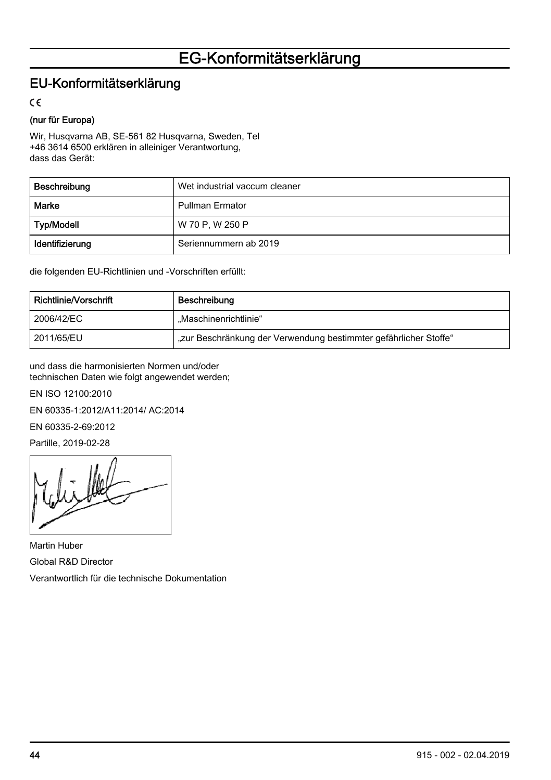# EG-Konformitätserklärung

## <span id="page-43-0"></span>EU-Konformitätserklärung

 $\epsilon$ 

#### (nur für Europa)

Wir, Husqvarna AB, SE-561 82 Husqvarna, Sweden, Tel +46 3614 6500 erklären in alleiniger Verantwortung, dass das Gerät:

| Beschreibung    | Wet industrial vaccum cleaner |
|-----------------|-------------------------------|
| Marke           | <b>Pullman Ermator</b>        |
| Typ/Modell      | W 70 P, W 250 P               |
| Identifizierung | Seriennummern ab 2019         |

die folgenden EU-Richtlinien und -Vorschriften erfüllt:

| Richtlinie/Vorschrift | Beschreibung                                                     |  |
|-----------------------|------------------------------------------------------------------|--|
| 2006/42/EC            | Maschinenrichtlinie"                                             |  |
| 2011/65/EU            | "zur Beschränkung der Verwendung bestimmter gefährlicher Stoffe" |  |

und dass die harmonisierten Normen und/oder technischen Daten wie folgt angewendet werden;

EN ISO 12100:2010

EN 60335-1:2012/A11:2014/ AC:2014

EN 60335-2-69:2012

Partille, 2019-02-28

Martin Huber Global R&D Director Verantwortlich für die technische Dokumentation